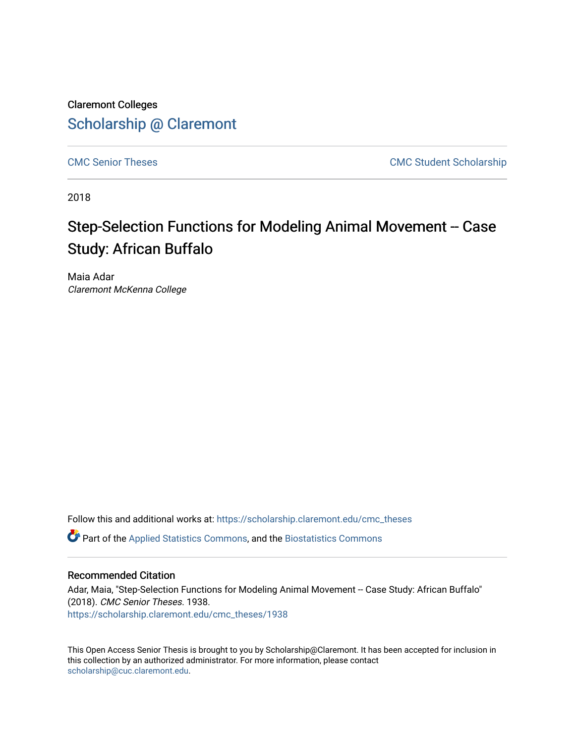Claremont Colleges [Scholarship @ Claremont](https://scholarship.claremont.edu/) 

[CMC Senior Theses](https://scholarship.claremont.edu/cmc_theses) CMC Student Scholarship

2018

# Step-Selection Functions for Modeling Animal Movement -- Case Study: African Buffalo

Maia Adar Claremont McKenna College

Follow this and additional works at: [https://scholarship.claremont.edu/cmc\\_theses](https://scholarship.claremont.edu/cmc_theses?utm_source=scholarship.claremont.edu%2Fcmc_theses%2F1938&utm_medium=PDF&utm_campaign=PDFCoverPages) 

 $\bullet$  Part of the [Applied Statistics Commons](http://network.bepress.com/hgg/discipline/209?utm_source=scholarship.claremont.edu%2Fcmc_theses%2F1938&utm_medium=PDF&utm_campaign=PDFCoverPages), and the [Biostatistics Commons](http://network.bepress.com/hgg/discipline/210?utm_source=scholarship.claremont.edu%2Fcmc_theses%2F1938&utm_medium=PDF&utm_campaign=PDFCoverPages)

#### Recommended Citation

Adar, Maia, "Step-Selection Functions for Modeling Animal Movement -- Case Study: African Buffalo" (2018). CMC Senior Theses. 1938. [https://scholarship.claremont.edu/cmc\\_theses/1938](https://scholarship.claremont.edu/cmc_theses/1938?utm_source=scholarship.claremont.edu%2Fcmc_theses%2F1938&utm_medium=PDF&utm_campaign=PDFCoverPages) 

This Open Access Senior Thesis is brought to you by Scholarship@Claremont. It has been accepted for inclusion in this collection by an authorized administrator. For more information, please contact [scholarship@cuc.claremont.edu.](mailto:scholarship@cuc.claremont.edu)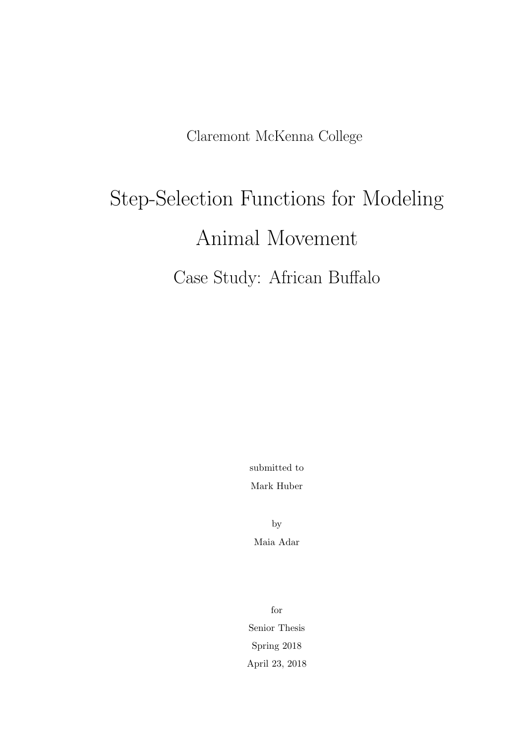Claremont McKenna College

# <span id="page-1-0"></span>Step-Selection Functions for Modeling Animal Movement Case Study: African Buffalo

submitted to Mark Huber

by Maia Adar

for Senior Thesis Spring 2018 April 23, 2018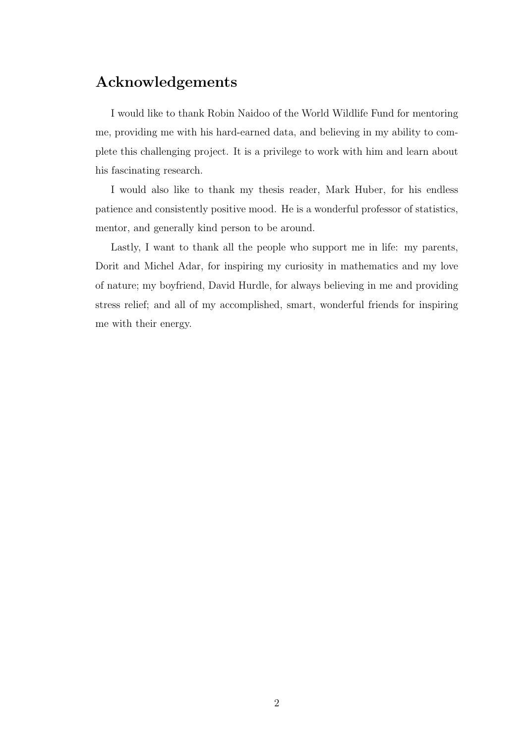## Acknowledgements

I would like to thank Robin Naidoo of the World Wildlife Fund for mentoring me, providing me with his hard-earned data, and believing in my ability to complete this challenging project. It is a privilege to work with him and learn about his fascinating research.

I would also like to thank my thesis reader, Mark Huber, for his endless patience and consistently positive mood. He is a wonderful professor of statistics, mentor, and generally kind person to be around.

Lastly, I want to thank all the people who support me in life: my parents, Dorit and Michel Adar, for inspiring my curiosity in mathematics and my love of nature; my boyfriend, David Hurdle, for always believing in me and providing stress relief; and all of my accomplished, smart, wonderful friends for inspiring me with their energy.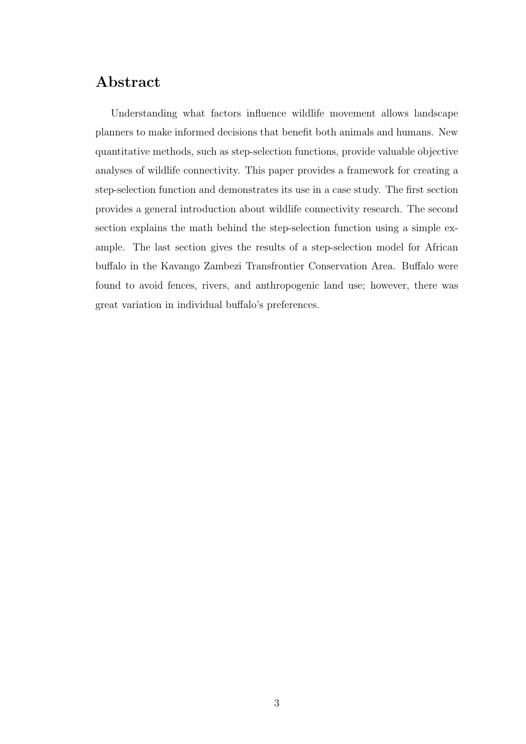## Abstract

Understanding what factors influence wildlife movement allows landscape planners to make informed decisions that benefit both animals and humans. New quantitative methods, such as step-selection functions, provide valuable objective analyses of wildlife connectivity. This paper provides a framework for creating a step-selection function and demonstrates its use in a case study. The first section provides a general introduction about wildlife connectivity research. The second section explains the math behind the step-selection function using a simple example. The last section gives the results of a step-selection model for African buffalo in the Kavango Zambezi Transfrontier Conservation Area. Buffalo were found to avoid fences, rivers, and anthropogenic land use; however, there was great variation in individual buffalo's preferences.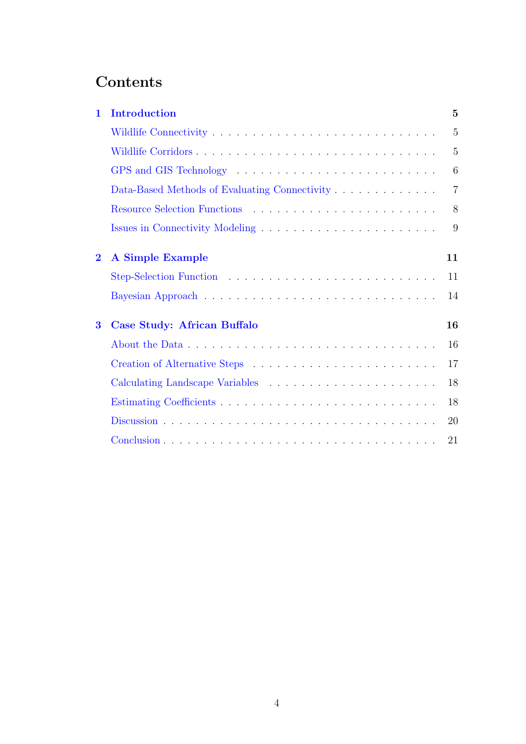# **Contents**

| 1.                      | <b>Introduction</b>                           | $\overline{5}$ |
|-------------------------|-----------------------------------------------|----------------|
|                         |                                               | 5              |
|                         | Wildlife Corridors                            | $\overline{5}$ |
|                         |                                               | 6              |
|                         | Data-Based Methods of Evaluating Connectivity | $\overline{7}$ |
|                         |                                               | 8              |
|                         |                                               | 9              |
| $\overline{\mathbf{2}}$ | <b>A Simple Example</b>                       | 11             |
|                         |                                               | 11             |
|                         |                                               | 14             |
| 3                       | Case Study: African Buffalo                   | 16             |
|                         |                                               | 16             |
|                         |                                               | 17             |
|                         |                                               | 18             |
|                         |                                               | 18             |
|                         |                                               | 20             |
|                         |                                               | 21             |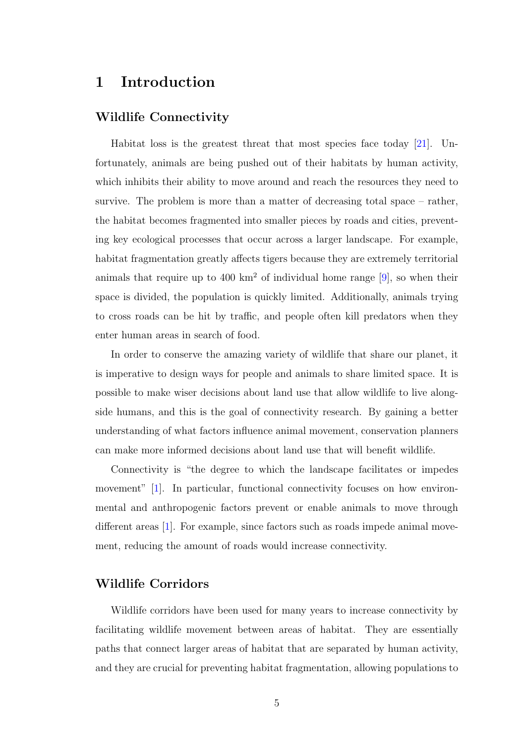## <span id="page-6-0"></span>1 Introduction

## <span id="page-6-1"></span>Wildlife Connectivity

Habitat loss is the greatest threat that most species face today [\[21\]](#page-26-0). Unfortunately, animals are being pushed out of their habitats by human activity, which inhibits their ability to move around and reach the resources they need to survive. The problem is more than a matter of decreasing total space – rather, the habitat becomes fragmented into smaller pieces by roads and cities, preventing key ecological processes that occur across a larger landscape. For example, habitat fragmentation greatly affects tigers because they are extremely territorial animals that require up to 400  $km^2$  of individual home range [\[9\]](#page-24-0), so when their space is divided, the population is quickly limited. Additionally, animals trying to cross roads can be hit by traffic, and people often kill predators when they enter human areas in search of food.

In order to conserve the amazing variety of wildlife that share our planet, it is imperative to design ways for people and animals to share limited space. It is possible to make wiser decisions about land use that allow wildlife to live alongside humans, and this is the goal of connectivity research. By gaining a better understanding of what factors influence animal movement, conservation planners can make more informed decisions about land use that will benefit wildlife.

Connectivity is "the degree to which the landscape facilitates or impedes movement" [\[1\]](#page-24-1). In particular, functional connectivity focuses on how environmental and anthropogenic factors prevent or enable animals to move through different areas [\[1\]](#page-24-1). For example, since factors such as roads impede animal movement, reducing the amount of roads would increase connectivity.

#### <span id="page-6-2"></span>Wildlife Corridors

Wildlife corridors have been used for many years to increase connectivity by facilitating wildlife movement between areas of habitat. They are essentially paths that connect larger areas of habitat that are separated by human activity, and they are crucial for preventing habitat fragmentation, allowing populations to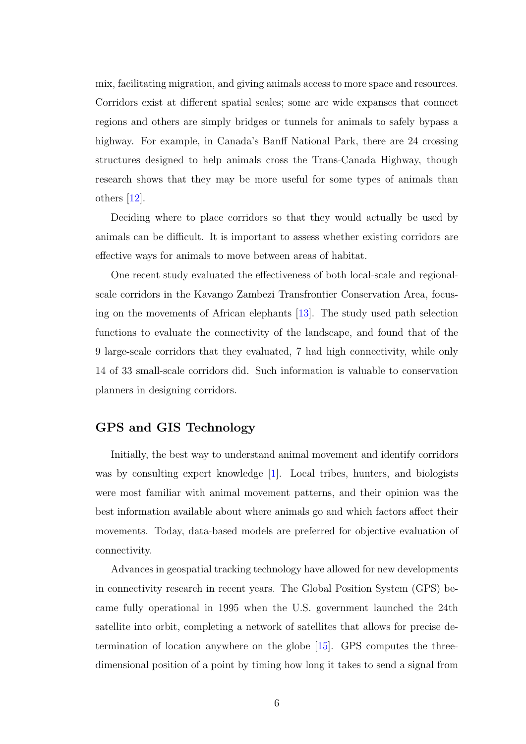mix, facilitating migration, and giving animals access to more space and resources. Corridors exist at different spatial scales; some are wide expanses that connect regions and others are simply bridges or tunnels for animals to safely bypass a highway. For example, in Canada's Banff National Park, there are 24 crossing structures designed to help animals cross the Trans-Canada Highway, though research shows that they may be more useful for some types of animals than others [\[12\]](#page-25-0).

Deciding where to place corridors so that they would actually be used by animals can be difficult. It is important to assess whether existing corridors are effective ways for animals to move between areas of habitat.

One recent study evaluated the effectiveness of both local-scale and regionalscale corridors in the Kavango Zambezi Transfrontier Conservation Area, focusing on the movements of African elephants [\[13\]](#page-25-1). The study used path selection functions to evaluate the connectivity of the landscape, and found that of the 9 large-scale corridors that they evaluated, 7 had high connectivity, while only 14 of 33 small-scale corridors did. Such information is valuable to conservation planners in designing corridors.

## <span id="page-7-0"></span>GPS and GIS Technology

Initially, the best way to understand animal movement and identify corridors was by consulting expert knowledge [\[1\]](#page-24-1). Local tribes, hunters, and biologists were most familiar with animal movement patterns, and their opinion was the best information available about where animals go and which factors affect their movements. Today, data-based models are preferred for objective evaluation of connectivity.

Advances in geospatial tracking technology have allowed for new developments in connectivity research in recent years. The Global Position System (GPS) became fully operational in 1995 when the U.S. government launched the 24th satellite into orbit, completing a network of satellites that allows for precise determination of location anywhere on the globe [\[15\]](#page-25-2). GPS computes the threedimensional position of a point by timing how long it takes to send a signal from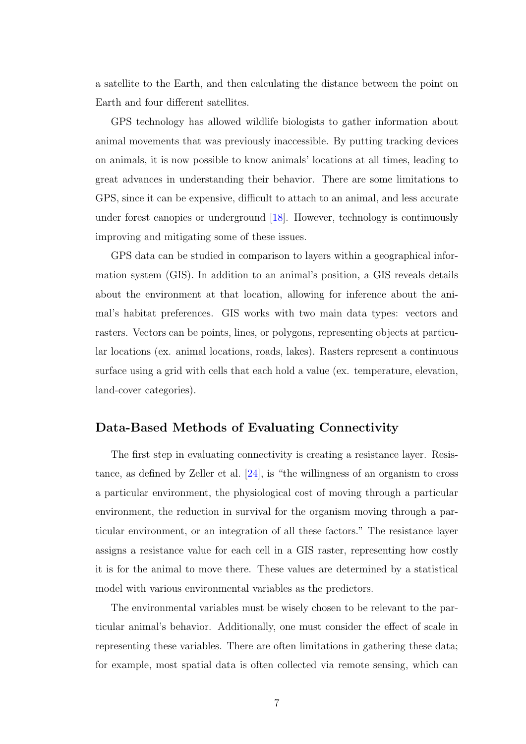a satellite to the Earth, and then calculating the distance between the point on Earth and four different satellites.

GPS technology has allowed wildlife biologists to gather information about animal movements that was previously inaccessible. By putting tracking devices on animals, it is now possible to know animals' locations at all times, leading to great advances in understanding their behavior. There are some limitations to GPS, since it can be expensive, difficult to attach to an animal, and less accurate under forest canopies or underground [\[18\]](#page-25-3). However, technology is continuously improving and mitigating some of these issues.

GPS data can be studied in comparison to layers within a geographical information system (GIS). In addition to an animal's position, a GIS reveals details about the environment at that location, allowing for inference about the animal's habitat preferences. GIS works with two main data types: vectors and rasters. Vectors can be points, lines, or polygons, representing objects at particular locations (ex. animal locations, roads, lakes). Rasters represent a continuous surface using a grid with cells that each hold a value (ex. temperature, elevation, land-cover categories).

#### <span id="page-8-0"></span>Data-Based Methods of Evaluating Connectivity

The first step in evaluating connectivity is creating a resistance layer. Resistance, as defined by Zeller et al. [\[24\]](#page-26-1), is "the willingness of an organism to cross a particular environment, the physiological cost of moving through a particular environment, the reduction in survival for the organism moving through a particular environment, or an integration of all these factors." The resistance layer assigns a resistance value for each cell in a GIS raster, representing how costly it is for the animal to move there. These values are determined by a statistical model with various environmental variables as the predictors.

The environmental variables must be wisely chosen to be relevant to the particular animal's behavior. Additionally, one must consider the effect of scale in representing these variables. There are often limitations in gathering these data; for example, most spatial data is often collected via remote sensing, which can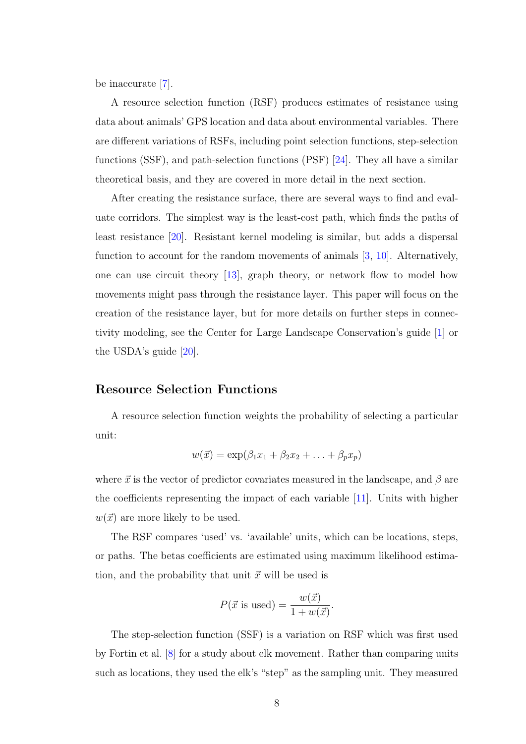be inaccurate [\[7\]](#page-24-2).

A resource selection function (RSF) produces estimates of resistance using data about animals' GPS location and data about environmental variables. There are different variations of RSFs, including point selection functions, step-selection functions (SSF), and path-selection functions (PSF) [\[24\]](#page-26-1). They all have a similar theoretical basis, and they are covered in more detail in the next section.

After creating the resistance surface, there are several ways to find and evaluate corridors. The simplest way is the least-cost path, which finds the paths of least resistance [\[20\]](#page-26-2). Resistant kernel modeling is similar, but adds a dispersal function to account for the random movements of animals [\[3,](#page-24-3) [10\]](#page-25-4). Alternatively, one can use circuit theory [\[13\]](#page-25-1), graph theory, or network flow to model how movements might pass through the resistance layer. This paper will focus on the creation of the resistance layer, but for more details on further steps in connectivity modeling, see the Center for Large Landscape Conservation's guide [\[1\]](#page-24-1) or the USDA's guide [\[20\]](#page-26-2).

#### <span id="page-9-0"></span>Resource Selection Functions

A resource selection function weights the probability of selecting a particular unit:

$$
w(\vec{x}) = \exp(\beta_1 x_1 + \beta_2 x_2 + \ldots + \beta_p x_p)
$$

where  $\vec{x}$  is the vector of predictor covariates measured in the landscape, and  $\beta$  are the coefficients representing the impact of each variable [\[11\]](#page-25-5). Units with higher  $w(\vec{x})$  are more likely to be used.

The RSF compares 'used' vs. 'available' units, which can be locations, steps, or paths. The betas coefficients are estimated using maximum likelihood estimation, and the probability that unit  $\vec{x}$  will be used is

$$
P(\vec{x} \text{ is used}) = \frac{w(\vec{x})}{1 + w(\vec{x})}.
$$

The step-selection function (SSF) is a variation on RSF which was first used by Fortin et al. [\[8\]](#page-24-4) for a study about elk movement. Rather than comparing units such as locations, they used the elk's "step" as the sampling unit. They measured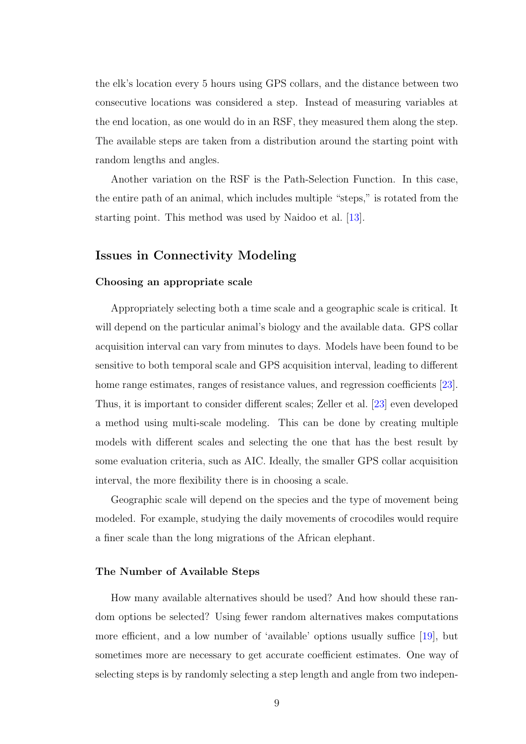the elk's location every 5 hours using GPS collars, and the distance between two consecutive locations was considered a step. Instead of measuring variables at the end location, as one would do in an RSF, they measured them along the step. The available steps are taken from a distribution around the starting point with random lengths and angles.

Another variation on the RSF is the Path-Selection Function. In this case, the entire path of an animal, which includes multiple "steps," is rotated from the starting point. This method was used by Naidoo et al. [\[13\]](#page-25-1).

#### Issues in Connectivity Modeling

#### Choosing an appropriate scale

Appropriately selecting both a time scale and a geographic scale is critical. It will depend on the particular animal's biology and the available data. GPS collar acquisition interval can vary from minutes to days. Models have been found to be sensitive to both temporal scale and GPS acquisition interval, leading to different home range estimates, ranges of resistance values, and regression coefficients [\[23\]](#page-26-3). Thus, it is important to consider different scales; Zeller et al. [\[23\]](#page-26-3) even developed a method using multi-scale modeling. This can be done by creating multiple models with different scales and selecting the one that has the best result by some evaluation criteria, such as AIC. Ideally, the smaller GPS collar acquisition interval, the more flexibility there is in choosing a scale.

Geographic scale will depend on the species and the type of movement being modeled. For example, studying the daily movements of crocodiles would require a finer scale than the long migrations of the African elephant.

#### The Number of Available Steps

How many available alternatives should be used? And how should these random options be selected? Using fewer random alternatives makes computations more efficient, and a low number of 'available' options usually suffice [\[19\]](#page-26-4), but sometimes more are necessary to get accurate coefficient estimates. One way of selecting steps is by randomly selecting a step length and angle from two indepen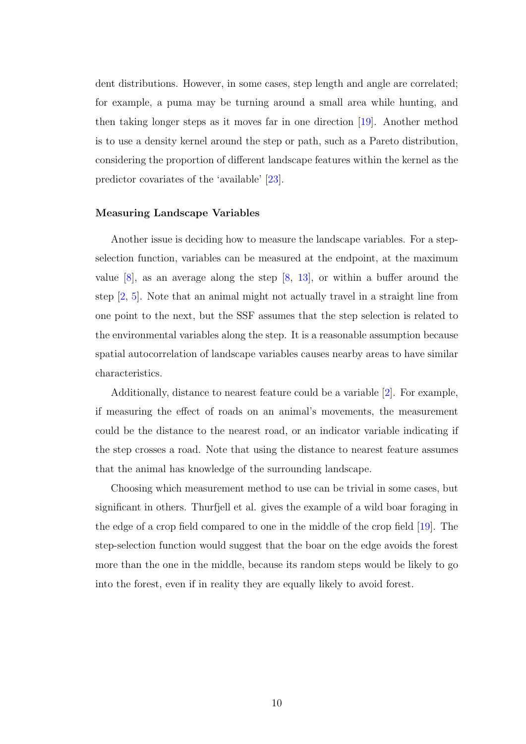dent distributions. However, in some cases, step length and angle are correlated; for example, a puma may be turning around a small area while hunting, and then taking longer steps as it moves far in one direction [\[19\]](#page-26-4). Another method is to use a density kernel around the step or path, such as a Pareto distribution, considering the proportion of different landscape features within the kernel as the predictor covariates of the 'available' [\[23\]](#page-26-3).

#### Measuring Landscape Variables

Another issue is deciding how to measure the landscape variables. For a stepselection function, variables can be measured at the endpoint, at the maximum value  $[8]$ , as an average along the step  $[8, 13]$  $[8, 13]$  $[8, 13]$ , or within a buffer around the step  $\left[2, 5\right]$  $\left[2, 5\right]$  $\left[2, 5\right]$ . Note that an animal might not actually travel in a straight line from one point to the next, but the SSF assumes that the step selection is related to the environmental variables along the step. It is a reasonable assumption because spatial autocorrelation of landscape variables causes nearby areas to have similar characteristics.

Additionally, distance to nearest feature could be a variable [\[2\]](#page-24-5). For example, if measuring the effect of roads on an animal's movements, the measurement could be the distance to the nearest road, or an indicator variable indicating if the step crosses a road. Note that using the distance to nearest feature assumes that the animal has knowledge of the surrounding landscape.

Choosing which measurement method to use can be trivial in some cases, but significant in others. Thurfjell et al. gives the example of a wild boar foraging in the edge of a crop field compared to one in the middle of the crop field [\[19\]](#page-26-4). The step-selection function would suggest that the boar on the edge avoids the forest more than the one in the middle, because its random steps would be likely to go into the forest, even if in reality they are equally likely to avoid forest.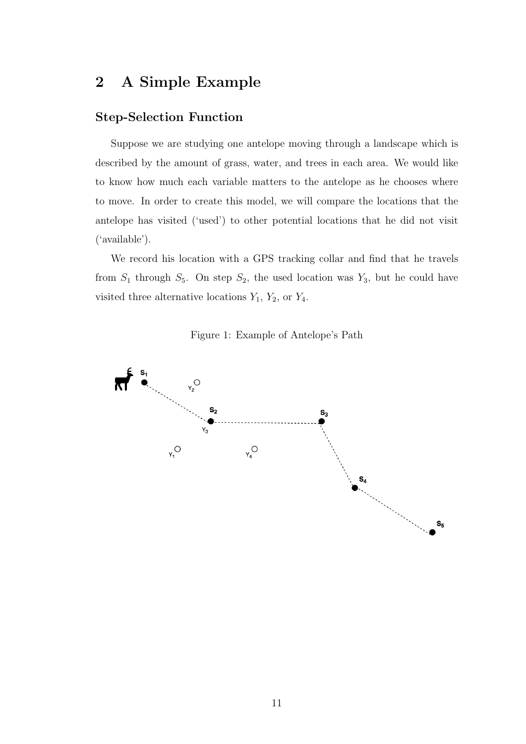## <span id="page-12-0"></span>2 A Simple Example

## <span id="page-12-1"></span>Step-Selection Function

Suppose we are studying one antelope moving through a landscape which is described by the amount of grass, water, and trees in each area. We would like to know how much each variable matters to the antelope as he chooses where to move. In order to create this model, we will compare the locations that the antelope has visited ('used') to other potential locations that he did not visit ('available').

We record his location with a GPS tracking collar and find that he travels from  $S_1$  through  $S_5$ . On step  $S_2$ , the used location was  $Y_3$ , but he could have visited three alternative locations  $Y_1$ ,  $Y_2$ , or  $Y_4$ .

Figure 1: Example of Antelope's Path

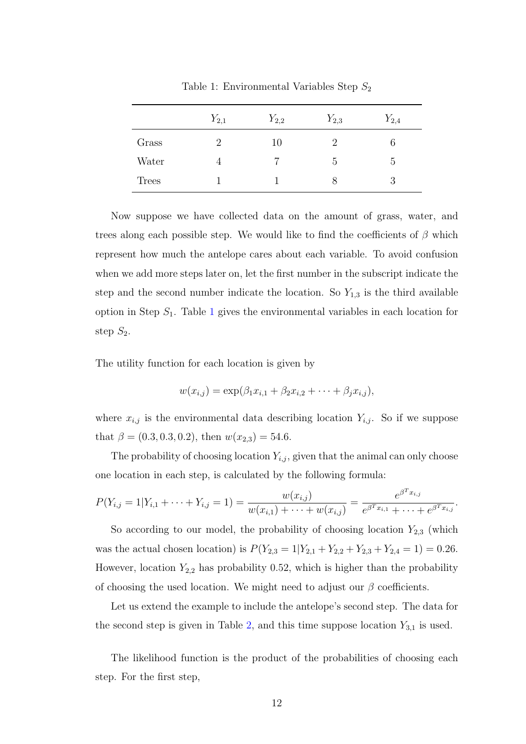<span id="page-13-0"></span>

|       | $Y_{2,1}$      | $Y_{2,2}$ | $Y_{2,3}$ | $Y_{2,4}$ |
|-------|----------------|-----------|-----------|-----------|
| Grass | 2              | 10        | 2         |           |
| Water | $\overline{4}$ | 7         | b         | 5         |
| Trees |                |           | 8         | 3         |

Table 1: Environmental Variables Step  $S_2$ 

Now suppose we have collected data on the amount of grass, water, and trees along each possible step. We would like to find the coefficients of  $\beta$  which represent how much the antelope cares about each variable. To avoid confusion when we add more steps later on, let the first number in the subscript indicate the step and the second number indicate the location. So  $Y_{1,3}$  is the third available option in Step  $S_1$  $S_1$ . Table 1 gives the environmental variables in each location for step  $S_2$ .

The utility function for each location is given by

$$
w(x_{i,j}) = \exp(\beta_1 x_{i,1} + \beta_2 x_{i,2} + \cdots + \beta_j x_{i,j}),
$$

where  $x_{i,j}$  is the environmental data describing location  $Y_{i,j}$ . So if we suppose that  $\beta = (0.3, 0.3, 0.2)$ , then  $w(x_{2,3}) = 54.6$ .

The probability of choosing location  $Y_{i,j}$ , given that the animal can only choose one location in each step, is calculated by the following formula:

$$
P(Y_{i,j} = 1 | Y_{i,1} + \cdots + Y_{i,j} = 1) = \frac{w(x_{i,j})}{w(x_{i,1}) + \cdots + w(x_{i,j})} = \frac{e^{\beta^T x_{i,j}}}{e^{\beta^T x_{i,1}} + \cdots + e^{\beta^T x_{i,j}}}.
$$

So according to our model, the probability of choosing location  $Y_{2,3}$  (which was the actual chosen location) is  $P(Y_{2,3} = 1|Y_{2,1} + Y_{2,2} + Y_{2,3} + Y_{2,4} = 1) = 0.26$ . However, location  $Y_{2,2}$  has probability 0.52, which is higher than the probability of choosing the used location. We might need to adjust our  $\beta$  coefficients.

Let us extend the example to include the antelope's second step. The data for the second step is given in Table [2,](#page-14-0) and this time suppose location  $Y_{3,1}$  is used.

The likelihood function is the product of the probabilities of choosing each step. For the first step,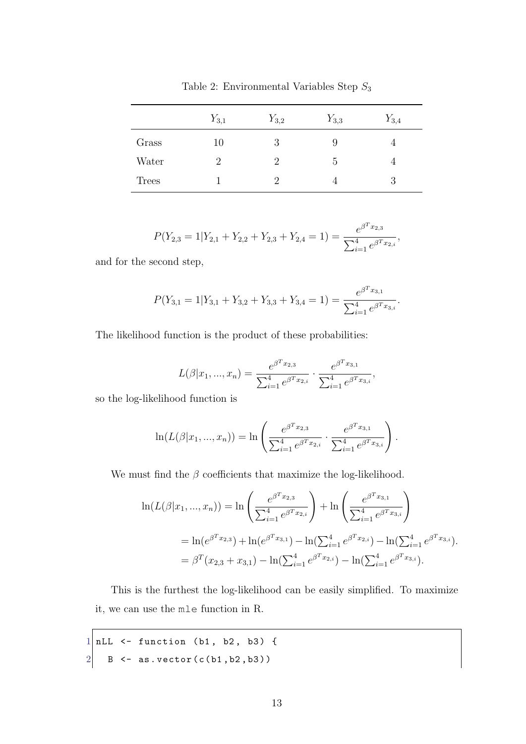<span id="page-14-0"></span>

|              | $Y_{3,1}$ | $Y_{3,2}$ | $Y_{3,3}$ | $Y_{3,4}$ |
|--------------|-----------|-----------|-----------|-----------|
| Grass        | 10        | 3         | 9         |           |
| Water        | 2         | 2         | 5         |           |
| <b>Trees</b> |           | $\dot{2}$ |           | 3         |

Table 2: Environmental Variables Step  $S_3$ 

$$
P(Y_{2,3} = 1|Y_{2,1} + Y_{2,2} + Y_{2,3} + Y_{2,4} = 1) = \frac{e^{\beta^T x_{2,3}}}{\sum_{i=1}^4 e^{\beta^T x_{2,i}}},
$$

and for the second step,

$$
P(Y_{3,1} = 1|Y_{3,1} + Y_{3,2} + Y_{3,3} + Y_{3,4} = 1) = \frac{e^{\beta^T x_{3,1}}}{\sum_{i=1}^4 e^{\beta^T x_{3,i}}}.
$$

The likelihood function is the product of these probabilities:

$$
L(\beta|x_1, ..., x_n) = \frac{e^{\beta^T x_{2,3}}}{\sum_{i=1}^4 e^{\beta^T x_{2,i}}} \cdot \frac{e^{\beta^T x_{3,1}}}{\sum_{i=1}^4 e^{\beta^T x_{3,i}}},
$$

so the log-likelihood function is

$$
\ln(L(\beta|x_1,...,x_n)) = \ln\left(\frac{e^{\beta^T x_{2,3}}}{\sum_{i=1}^4 e^{\beta^T x_{2,i}}} \cdot \frac{e^{\beta^T x_{3,1}}}{\sum_{i=1}^4 e^{\beta^T x_{3,i}}}\right).
$$

We must find the  $\beta$  coefficients that maximize the log-likelihood.

$$
\ln(L(\beta|x_1,...,x_n)) = \ln\left(\frac{e^{\beta^T x_{2,3}}}{\sum_{i=1}^4 e^{\beta^T x_{2,i}}}\right) + \ln\left(\frac{e^{\beta^T x_{3,1}}}{\sum_{i=1}^4 e^{\beta^T x_{3,i}}}\right)
$$

$$
= \ln(e^{\beta^T x_{2,3}}) + \ln(e^{\beta^T x_{3,1}}) - \ln(\sum_{i=1}^4 e^{\beta^T x_{2,i}}) - \ln(\sum_{i=1}^4 e^{\beta^T x_{3,i}}).
$$

$$
= \beta^T (x_{2,3} + x_{3,1}) - \ln(\sum_{i=1}^4 e^{\beta^T x_{2,i}}) - \ln(\sum_{i=1}^4 e^{\beta^T x_{3,i}}).
$$

This is the furthest the log-likelihood can be easily simplified. To maximize it, we can use the mle function in R.

 $1 \nvert nLL$  <- function (b1, b2, b3) {  $2 \left| B \leftarrow \text{as. vector} (c(b1, b2, b3)) \right|$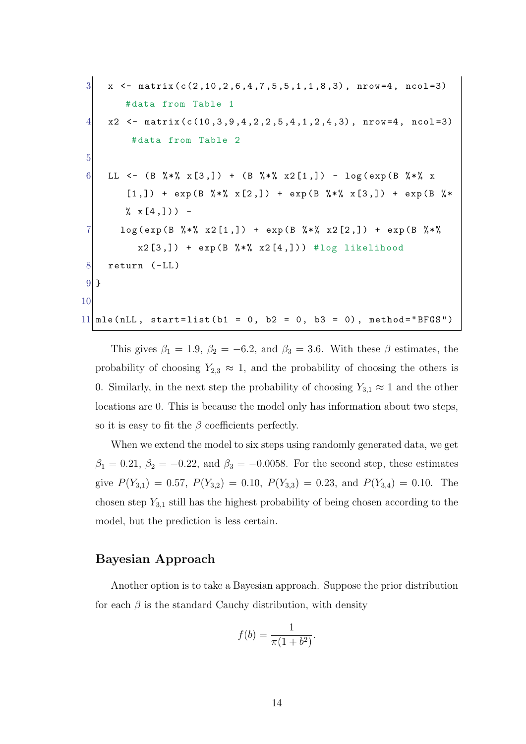```
3 \times \leftarrow \text{ matrix} (c(2, 10, 2, 6, 4, 7, 5, 5, 1, 1, 8, 3), \text{ nrow=4, ncol=3})# data from Table 1
 4 \mid x2 \leq - \text{ matrix } (c(10, 3, 9, 4, 2, 2, 5, 4, 1, 2, 4, 3), \text{ nrow=4}, \text{ ncol=3})# data from Table 2
 5
 6 LL <- (B %*% x [3,]) + (B %*% x2[1,]) - log (exp (B %*% x
         [1, ]) + exp(B %*% x[2, ]) + exp(B %*% x[3, ]) + exp(B %*
         \frac{9}{2} x [4,]) ) -
 7 log(exp(B %*% x2[1,]) + exp(B %*% x2[2,]) + exp(B %*%
           x2 [3,]) + exp(B % * % x2 [4,])) # log likelihood8 return (-LL)
 9 }
10
11 \mid mle (nLL, start=list (b1 = 0, b2 = 0, b3 = 0), method="BFGS")
```
This gives  $\beta_1 = 1.9$ ,  $\beta_2 = -6.2$ , and  $\beta_3 = 3.6$ . With these  $\beta$  estimates, the probability of choosing  $Y_{2,3} \approx 1$ , and the probability of choosing the others is 0. Similarly, in the next step the probability of choosing  $Y_{3,1} \approx 1$  and the other locations are 0. This is because the model only has information about two steps, so it is easy to fit the  $\beta$  coefficients perfectly.

When we extend the model to six steps using randomly generated data, we get  $\beta_1 = 0.21, \beta_2 = -0.22, \text{ and } \beta_3 = -0.0058.$  For the second step, these estimates give  $P(Y_{3,1}) = 0.57$ ,  $P(Y_{3,2}) = 0.10$ ,  $P(Y_{3,3}) = 0.23$ , and  $P(Y_{3,4}) = 0.10$ . The chosen step  $Y_{3,1}$  still has the highest probability of being chosen according to the model, but the prediction is less certain.

#### Bayesian Approach

Another option is to take a Bayesian approach. Suppose the prior distribution for each  $\beta$  is the standard Cauchy distribution, with density

$$
f(b) = \frac{1}{\pi(1+b^2)}.
$$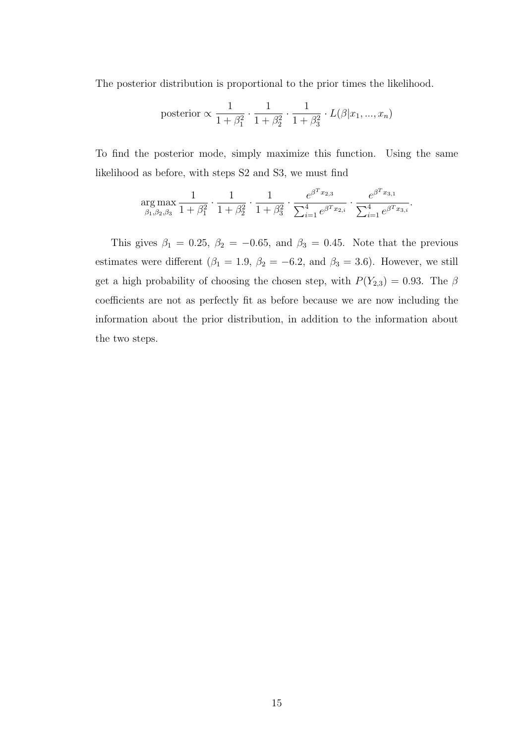The posterior distribution is proportional to the prior times the likelihood.

posterior 
$$
\propto \frac{1}{1 + \beta_1^2} \cdot \frac{1}{1 + \beta_2^2} \cdot \frac{1}{1 + \beta_3^2} \cdot L(\beta | x_1, ..., x_n)
$$

To find the posterior mode, simply maximize this function. Using the same likelihood as before, with steps S2 and S3, we must find

$$
\arg\max_{\beta_1,\beta_2,\beta_3} \frac{1}{1+\beta_1^2} \cdot \frac{1}{1+\beta_2^2} \cdot \frac{1}{1+\beta_3^2} \cdot \frac{e^{\beta^T x_{2,3}}}{\sum_{i=1}^4 e^{\beta^T x_{2,i}}} \cdot \frac{e^{\beta^T x_{3,1}}}{\sum_{i=1}^4 e^{\beta^T x_{3,i}}}.
$$

This gives  $\beta_1 = 0.25$ ,  $\beta_2 = -0.65$ , and  $\beta_3 = 0.45$ . Note that the previous estimates were different ( $\beta_1 = 1.9$ ,  $\beta_2 = -6.2$ , and  $\beta_3 = 3.6$ ). However, we still get a high probability of choosing the chosen step, with  $P(Y_{2,3}) = 0.93$ . The  $\beta$ coefficients are not as perfectly fit as before because we are now including the information about the prior distribution, in addition to the information about the two steps.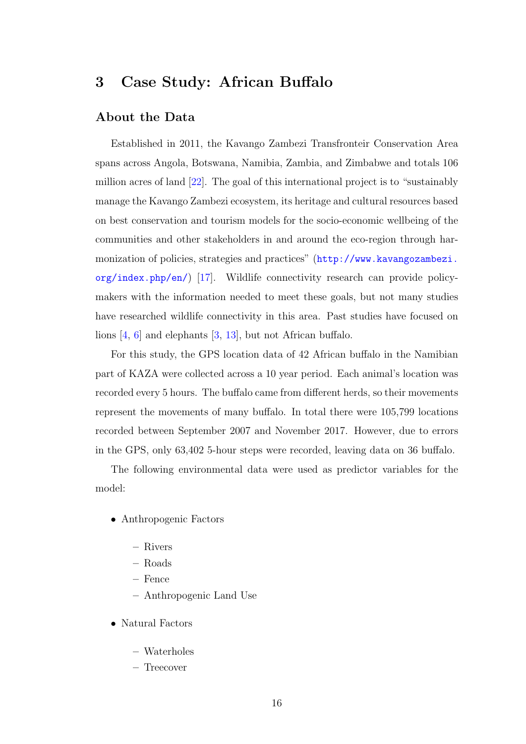## <span id="page-17-0"></span>3 Case Study: African Buffalo

#### <span id="page-17-2"></span><span id="page-17-1"></span>About the Data

Established in 2011, the Kavango Zambezi Transfronteir Conservation Area spans across Angola, Botswana, Namibia, Zambia, and Zimbabwe and totals 106 million acres of land [\[22\]](#page-26-5). The goal of this international project is to "sustainably manage the Kavango Zambezi ecosystem, its heritage and cultural resources based on best conservation and tourism models for the socio-economic wellbeing of the communities and other stakeholders in and around the eco-region through harmonization of policies, strategies and practices" ([http://www.kavangozambezi.](http://www.kavangozambezi.org/index.php/en/) [org/index.php/en/](http://www.kavangozambezi.org/index.php/en/)) [\[17\]](#page-25-6). Wildlife connectivity research can provide policymakers with the information needed to meet these goals, but not many studies have researched wildlife connectivity in this area. Past studies have focused on lions [\[4,](#page-24-7) [6\]](#page-24-8) and elephants [\[3,](#page-24-3) [13\]](#page-25-1), but not African buffalo.

For this study, the GPS location data of 42 African buffalo in the Namibian part of KAZA were collected across a 10 year period. Each animal's location was recorded every 5 hours. The buffalo came from different herds, so their movements represent the movements of many buffalo. In total there were 105,799 locations recorded between September 2007 and November 2017. However, due to errors in the GPS, only 63,402 5-hour steps were recorded, leaving data on 36 buffalo.

The following environmental data were used as predictor variables for the model:

- Anthropogenic Factors
	- Rivers
	- Roads
	- Fence
	- Anthropogenic Land Use
- Natural Factors
	- Waterholes
	- Treecover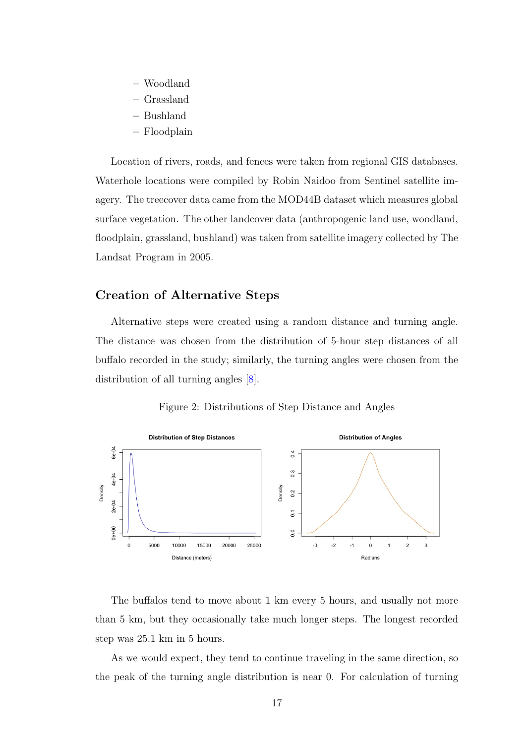- Woodland
- Grassland
- Bushland
- Floodplain

Location of rivers, roads, and fences were taken from regional GIS databases. Waterhole locations were compiled by Robin Naidoo from Sentinel satellite imagery. The treecover data came from the MOD44B dataset which measures global surface vegetation. The other landcover data (anthropogenic land use, woodland, floodplain, grassland, bushland) was taken from satellite imagery collected by The Landsat Program in 2005.

#### Creation of Alternative Steps

Alternative steps were created using a random distance and turning angle. The distance was chosen from the distribution of 5-hour step distances of all buffalo recorded in the study; similarly, the turning angles were chosen from the distribution of all turning angles [\[8\]](#page-24-4).

<span id="page-18-0"></span>Figure 2: Distributions of Step Distance and Angles



The buffalos tend to move about 1 km every 5 hours, and usually not more than 5 km, but they occasionally take much longer steps. The longest recorded step was 25.1 km in 5 hours.

As we would expect, they tend to continue traveling in the same direction, so the peak of the turning angle distribution is near 0. For calculation of turning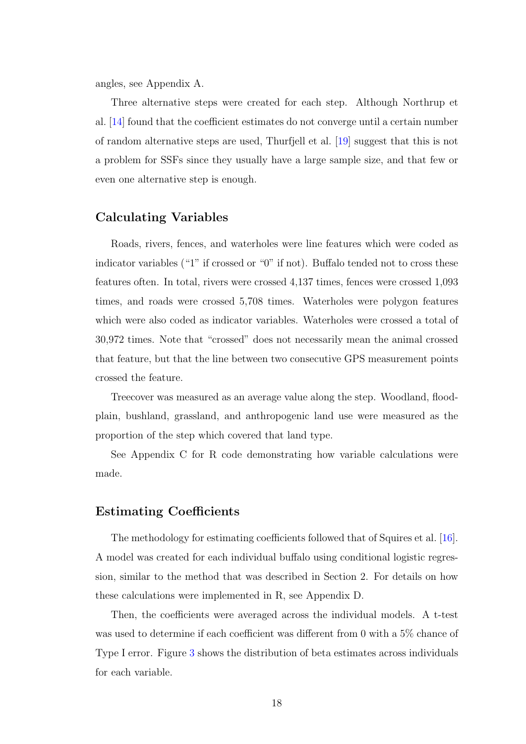angles, see Appendix A.

Three alternative steps were created for each step. Although Northrup et al. [\[14\]](#page-25-7) found that the coefficient estimates do not converge until a certain number of random alternative steps are used, Thurfjell et al. [\[19\]](#page-26-4) suggest that this is not a problem for SSFs since they usually have a large sample size, and that few or even one alternative step is enough.

## <span id="page-19-0"></span>Calculating Variables

Roads, rivers, fences, and waterholes were line features which were coded as indicator variables ("1" if crossed or "0" if not). Buffalo tended not to cross these features often. In total, rivers were crossed 4,137 times, fences were crossed 1,093 times, and roads were crossed 5,708 times. Waterholes were polygon features which were also coded as indicator variables. Waterholes were crossed a total of 30,972 times. Note that "crossed" does not necessarily mean the animal crossed that feature, but that the line between two consecutive GPS measurement points crossed the feature.

Treecover was measured as an average value along the step. Woodland, floodplain, bushland, grassland, and anthropogenic land use were measured as the proportion of the step which covered that land type.

See Appendix C for R code demonstrating how variable calculations were made.

## Estimating Coefficients

The methodology for estimating coefficients followed that of Squires et al. [\[16\]](#page-25-8). A model was created for each individual buffalo using conditional logistic regression, similar to the method that was described in Section 2. For details on how these calculations were implemented in R, see Appendix D.

Then, the coefficients were averaged across the individual models. A t-test was used to determine if each coefficient was different from 0 with a 5% chance of Type I error. Figure [3](#page-20-0) shows the distribution of beta estimates across individuals for each variable.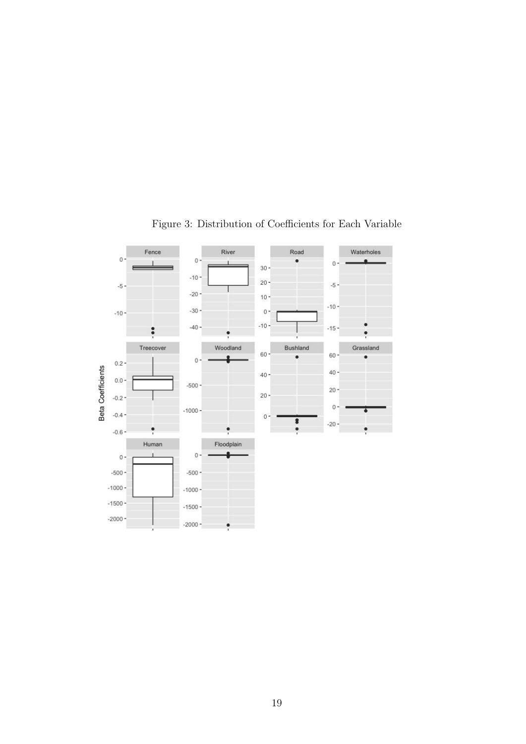<span id="page-20-0"></span>

Figure 3: Distribution of Coefficients for Each Variable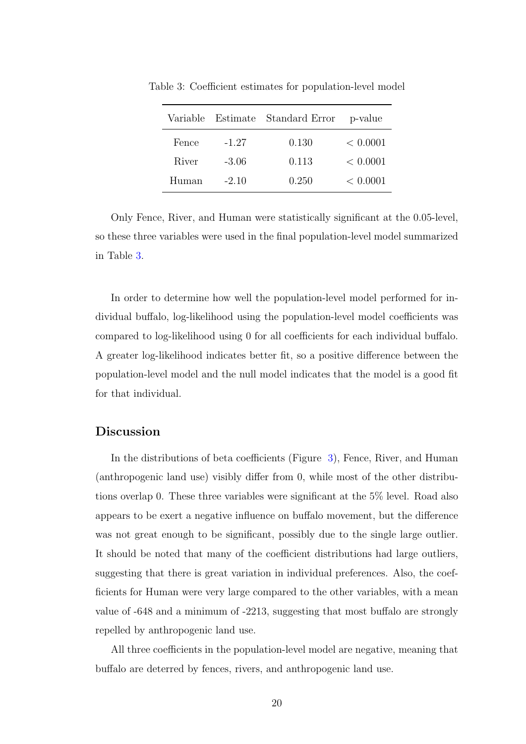| Variable |         | Estimate Standard Error | p-value  |
|----------|---------|-------------------------|----------|
| Fence    | $-1.27$ | 0.130                   | < 0.0001 |
| River    | $-3.06$ | 0.113                   | < 0.0001 |
| Human    | $-2.10$ | 0.250                   | < 0.0001 |

<span id="page-21-1"></span>Table 3: Coefficient estimates for population-level model

Only Fence, River, and Human were statistically significant at the 0.05-level, so these three variables were used in the final population-level model summarized in Table [3.](#page-21-1)

In order to determine how well the population-level model performed for individual buffalo, log-likelihood using the population-level model coefficients was compared to log-likelihood using 0 for all coefficients for each individual buffalo. A greater log-likelihood indicates better fit, so a positive difference between the population-level model and the null model indicates that the model is a good fit for that individual.

#### <span id="page-21-0"></span>Discussion

In the distributions of beta coefficients (Figure [3\)](#page-20-0), Fence, River, and Human (anthropogenic land use) visibly differ from 0, while most of the other distributions overlap 0. These three variables were significant at the 5% level. Road also appears to be exert a negative influence on buffalo movement, but the difference was not great enough to be significant, possibly due to the single large outlier. It should be noted that many of the coefficient distributions had large outliers, suggesting that there is great variation in individual preferences. Also, the coefficients for Human were very large compared to the other variables, with a mean value of -648 and a minimum of -2213, suggesting that most buffalo are strongly repelled by anthropogenic land use.

All three coefficients in the population-level model are negative, meaning that buffalo are deterred by fences, rivers, and anthropogenic land use.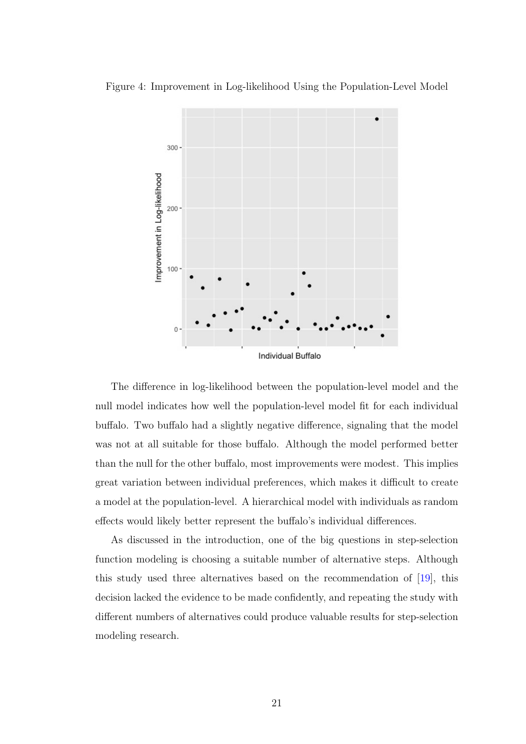

<span id="page-22-0"></span>Figure 4: Improvement in Log-likelihood Using the Population-Level Model

The difference in log-likelihood between the population-level model and the null model indicates how well the population-level model fit for each individual buffalo. Two buffalo had a slightly negative difference, signaling that the model was not at all suitable for those buffalo. Although the model performed better than the null for the other buffalo, most improvements were modest. This implies great variation between individual preferences, which makes it difficult to create a model at the population-level. A hierarchical model with individuals as random effects would likely better represent the buffalo's individual differences.

As discussed in the introduction, one of the big questions in step-selection function modeling is choosing a suitable number of alternative steps. Although this study used three alternatives based on the recommendation of [\[19\]](#page-26-4), this decision lacked the evidence to be made confidently, and repeating the study with different numbers of alternatives could produce valuable results for step-selection modeling research.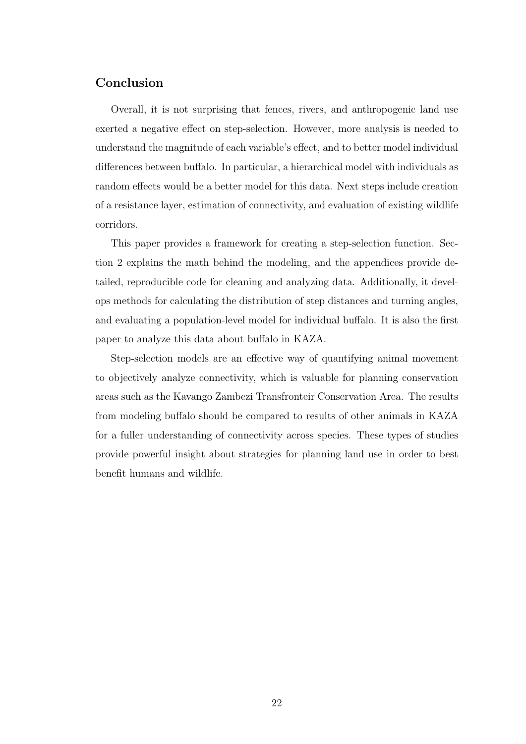## Conclusion

Overall, it is not surprising that fences, rivers, and anthropogenic land use exerted a negative effect on step-selection. However, more analysis is needed to understand the magnitude of each variable's effect, and to better model individual differences between buffalo. In particular, a hierarchical model with individuals as random effects would be a better model for this data. Next steps include creation of a resistance layer, estimation of connectivity, and evaluation of existing wildlife corridors.

This paper provides a framework for creating a step-selection function. Section 2 explains the math behind the modeling, and the appendices provide detailed, reproducible code for cleaning and analyzing data. Additionally, it develops methods for calculating the distribution of step distances and turning angles, and evaluating a population-level model for individual buffalo. It is also the first paper to analyze this data about buffalo in KAZA.

Step-selection models are an effective way of quantifying animal movement to objectively analyze connectivity, which is valuable for planning conservation areas such as the Kavango Zambezi Transfronteir Conservation Area. The results from modeling buffalo should be compared to results of other animals in KAZA for a fuller understanding of connectivity across species. These types of studies provide powerful insight about strategies for planning land use in order to best benefit humans and wildlife.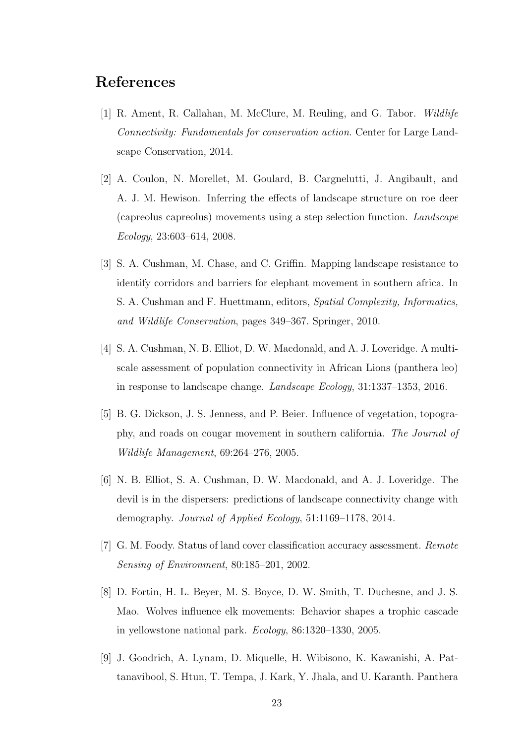# References

- <span id="page-24-1"></span>[1] R. Ament, R. Callahan, M. McClure, M. Reuling, and G. Tabor. Wildlife Connectivity: Fundamentals for conservation action. Center for Large Landscape Conservation, 2014.
- <span id="page-24-5"></span>[2] A. Coulon, N. Morellet, M. Goulard, B. Cargnelutti, J. Angibault, and A. J. M. Hewison. Inferring the effects of landscape structure on roe deer (capreolus capreolus) movements using a step selection function. Landscape Ecology, 23:603–614, 2008.
- <span id="page-24-3"></span>[3] S. A. Cushman, M. Chase, and C. Griffin. Mapping landscape resistance to identify corridors and barriers for elephant movement in southern africa. In S. A. Cushman and F. Huettmann, editors, Spatial Complexity, Informatics, and Wildlife Conservation, pages 349–367. Springer, 2010.
- <span id="page-24-7"></span>[4] S. A. Cushman, N. B. Elliot, D. W. Macdonald, and A. J. Loveridge. A multiscale assessment of population connectivity in African Lions (panthera leo) in response to landscape change. Landscape Ecology, 31:1337–1353, 2016.
- <span id="page-24-6"></span>[5] B. G. Dickson, J. S. Jenness, and P. Beier. Influence of vegetation, topography, and roads on cougar movement in southern california. The Journal of Wildlife Management, 69:264–276, 2005.
- <span id="page-24-8"></span>[6] N. B. Elliot, S. A. Cushman, D. W. Macdonald, and A. J. Loveridge. The devil is in the dispersers: predictions of landscape connectivity change with demography. Journal of Applied Ecology, 51:1169–1178, 2014.
- <span id="page-24-2"></span>[7] G. M. Foody. Status of land cover classification accuracy assessment. Remote Sensing of Environment, 80:185–201, 2002.
- <span id="page-24-4"></span>[8] D. Fortin, H. L. Beyer, M. S. Boyce, D. W. Smith, T. Duchesne, and J. S. Mao. Wolves influence elk movements: Behavior shapes a trophic cascade in yellowstone national park. Ecology, 86:1320–1330, 2005.
- <span id="page-24-0"></span>[9] J. Goodrich, A. Lynam, D. Miquelle, H. Wibisono, K. Kawanishi, A. Pattanavibool, S. Htun, T. Tempa, J. Kark, Y. Jhala, and U. Karanth. Panthera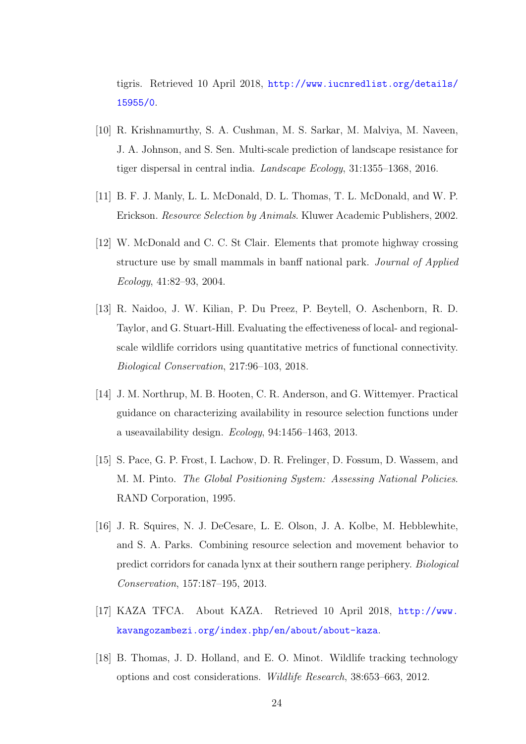tigris. Retrieved 10 April 2018, [http://www.iucnredlist.org/details/](http://www.iucnredlist.org/details/15955/0) [15955/0](http://www.iucnredlist.org/details/15955/0).

- <span id="page-25-4"></span>[10] R. Krishnamurthy, S. A. Cushman, M. S. Sarkar, M. Malviya, M. Naveen, J. A. Johnson, and S. Sen. Multi-scale prediction of landscape resistance for tiger dispersal in central india. Landscape Ecology, 31:1355–1368, 2016.
- <span id="page-25-5"></span>[11] B. F. J. Manly, L. L. McDonald, D. L. Thomas, T. L. McDonald, and W. P. Erickson. Resource Selection by Animals. Kluwer Academic Publishers, 2002.
- <span id="page-25-0"></span>[12] W. McDonald and C. C. St Clair. Elements that promote highway crossing structure use by small mammals in banff national park. Journal of Applied Ecology, 41:82–93, 2004.
- <span id="page-25-1"></span>[13] R. Naidoo, J. W. Kilian, P. Du Preez, P. Beytell, O. Aschenborn, R. D. Taylor, and G. Stuart-Hill. Evaluating the effectiveness of local- and regionalscale wildlife corridors using quantitative metrics of functional connectivity. Biological Conservation, 217:96–103, 2018.
- <span id="page-25-7"></span>[14] J. M. Northrup, M. B. Hooten, C. R. Anderson, and G. Wittemyer. Practical guidance on characterizing availability in resource selection functions under a useavailability design. Ecology, 94:1456–1463, 2013.
- <span id="page-25-2"></span>[15] S. Pace, G. P. Frost, I. Lachow, D. R. Frelinger, D. Fossum, D. Wassem, and M. M. Pinto. The Global Positioning System: Assessing National Policies. RAND Corporation, 1995.
- <span id="page-25-8"></span>[16] J. R. Squires, N. J. DeCesare, L. E. Olson, J. A. Kolbe, M. Hebblewhite, and S. A. Parks. Combining resource selection and movement behavior to predict corridors for canada lynx at their southern range periphery. Biological Conservation, 157:187–195, 2013.
- <span id="page-25-6"></span>[17] KAZA TFCA. About KAZA. Retrieved 10 April 2018, [http://www.](http://www.kavangozambezi.org/index.php/en/about/about-kaza) [kavangozambezi.org/index.php/en/about/about-kaza](http://www.kavangozambezi.org/index.php/en/about/about-kaza).
- <span id="page-25-3"></span>[18] B. Thomas, J. D. Holland, and E. O. Minot. Wildlife tracking technology options and cost considerations. Wildlife Research, 38:653–663, 2012.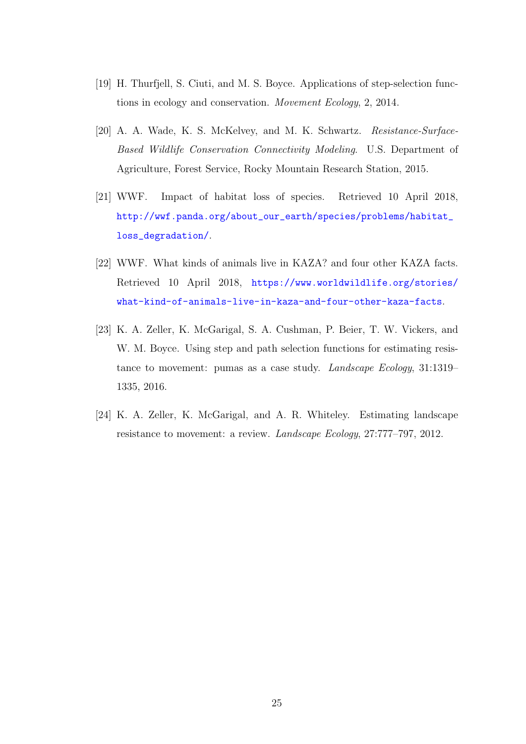- <span id="page-26-4"></span>[19] H. Thurfjell, S. Ciuti, and M. S. Boyce. Applications of step-selection functions in ecology and conservation. Movement Ecology, 2, 2014.
- <span id="page-26-2"></span>[20] A. A. Wade, K. S. McKelvey, and M. K. Schwartz. Resistance-Surface-Based Wildlife Conservation Connectivity Modeling. U.S. Department of Agriculture, Forest Service, Rocky Mountain Research Station, 2015.
- <span id="page-26-0"></span>[21] WWF. Impact of habitat loss of species. Retrieved 10 April 2018, [http://wwf.panda.org/about\\_our\\_earth/species/problems/habitat\\_](http://wwf.panda.org/about_our_earth/species/problems/habitat_loss_degradation/) [loss\\_degradation/](http://wwf.panda.org/about_our_earth/species/problems/habitat_loss_degradation/).
- <span id="page-26-5"></span>[22] WWF. What kinds of animals live in KAZA? and four other KAZA facts. Retrieved 10 April 2018, [https://www.worldwildlife.org/stories/](https://www.worldwildlife.org/stories/what-kind-of-animals-live-in-kaza-and-four-other-kaza-facts) [what-kind-of-animals-live-in-kaza-and-four-other-kaza-facts](https://www.worldwildlife.org/stories/what-kind-of-animals-live-in-kaza-and-four-other-kaza-facts).
- <span id="page-26-3"></span>[23] K. A. Zeller, K. McGarigal, S. A. Cushman, P. Beier, T. W. Vickers, and W. M. Boyce. Using step and path selection functions for estimating resistance to movement: pumas as a case study. Landscape Ecology, 31:1319– 1335, 2016.
- <span id="page-26-1"></span>[24] K. A. Zeller, K. McGarigal, and A. R. Whiteley. Estimating landscape resistance to movement: a review. Landscape Ecology, 27:777–797, 2012.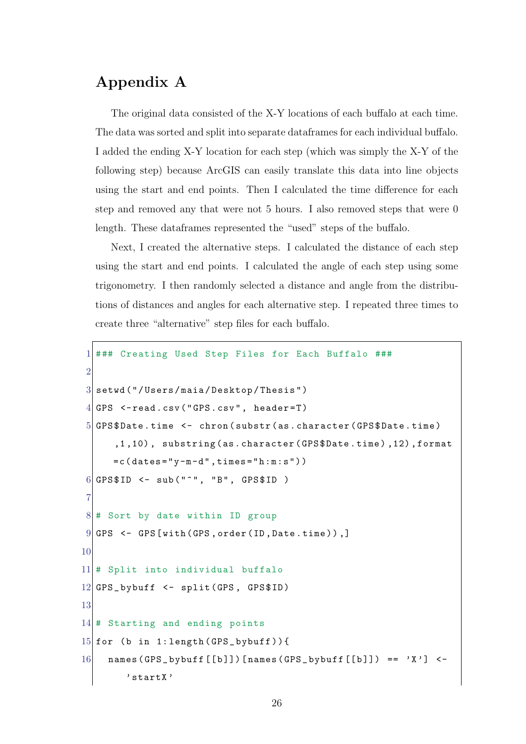## Appendix A

The original data consisted of the X-Y locations of each buffalo at each time. The data was sorted and split into separate dataframes for each individual buffalo. I added the ending X-Y location for each step (which was simply the X-Y of the following step) because ArcGIS can easily translate this data into line objects using the start and end points. Then I calculated the time difference for each step and removed any that were not 5 hours. I also removed steps that were 0 length. These dataframes represented the "used" steps of the buffalo.

Next, I created the alternative steps. I calculated the distance of each step using the start and end points. I calculated the angle of each step using some trigonometry. I then randomly selected a distance and angle from the distributions of distances and angles for each alternative step. I repeated three times to create three "alternative" step files for each buffalo.

```
1 ### Creating Used Step Files for Each Buffalo ###
2
3 setwd ("/ Users / maia / Desktop / Thesis ")
4 GPS \le-read.csv("GPS.csv", header=T)
5 GPS$Date.time <- chron (substr (as.character (GPS$Date.time)
      ,1 ,10) , substring (as. character ( GPS $ Date . time ) ,12) ,format
     =c(dates = "y-m-d", times = "h:m:s"))
6 GPS$ID <- sub("^", "B", GPS$ID)
7
8# Sort by date within ID group
9 | GPS \leftarrow GPS [with (GPS, order (ID, Date.time)),]
10
11 \# Split into individual buffalo
12 GPS_bybuff <- split (GPS, GPS$ID)
13
14 # Starting and ending points
15 for (b in 1: length (GPS_bybuff)){
16 names (GPS_bybuff [[b]]) [names (GPS_bybuff [[b]]) == 'X'] <-
        'startX '
```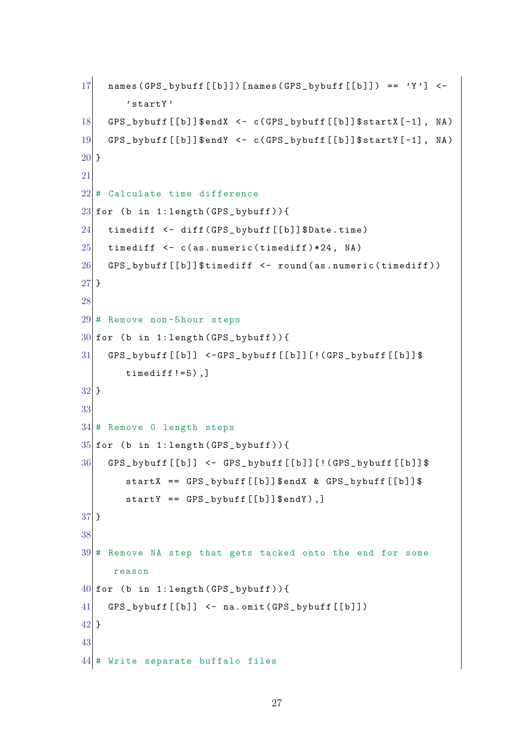```
17 names (GPS_bybuff [[b]]) [names (GPS_bybuff [[b]]) == 'Y'] <-
        'startY '
18 GPS_bybuff [[b]]$endX <- c(GPS_bybuff [[b]]$startX [-1], NA)
19 GPS_bybuff [[b]]$endY <- c(GPS_bybuff [[b]]$startY [-1], NA)
20 }
21
22 # Calculate time difference
23 for (b in 1: length (GPS_bybuff)){
24 timediff \leq diff (GPS_bybuff [[b]] $Date.time)
25 timediff \leq c(as.numeric (timediff) *24, NA)
26 GPS _ bybuff [[b]]$timediff <- round (as. numeric (timediff))
27 }
28
29 # Remove non -5 hour steps
30 for (b in 1: length (GPS_bybuff)){
31 GPS_bybuff [[b]] <-GPS_bybuff [[b]][!(GPS_bybuff [[b]] $
        timediff !=5),
32 }
33
34 # Remove 0 length steps
35 for (b in 1: length (GPS_bybuff)) {
36 GPS_bybuff [[b]] <- GPS_bybuff [[b]] [!(GPS_bybuff [[b]] $
        startX = GPS_bybuffer [[b]] \text{SendX} & GPS_bybuff [[b]] \text{\$}startY = GPS_bybuffer [[b]] $endY),]
37 }
38
39 \# Remove NA step that gets tacked onto the end for some
     reason
40 for (b in 1: length (GPS_bybuff)){
41 GPS _ bybuff [[b]] <- na. omit (GPS _ bybuff [[b]])
42 }
43
44 \sharp Write separate buffalo files
```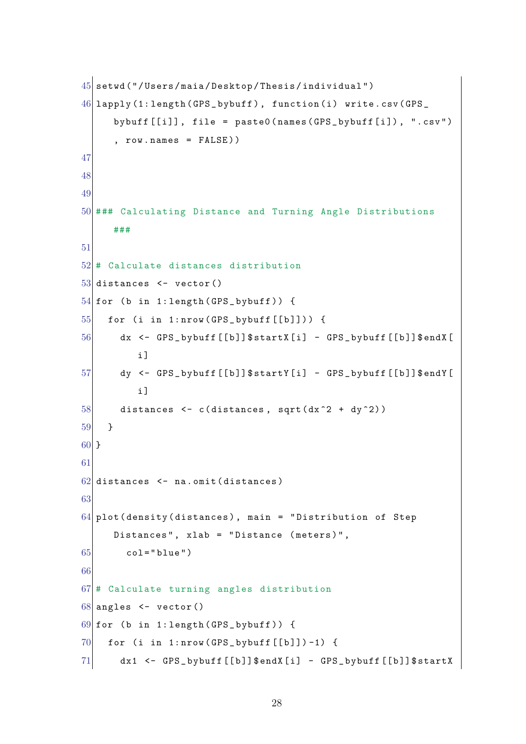```
45 setwd ("/Users/maia/Desktop/Thesis/individual")
46 lapply (1: length (GPS _ bybuff), function (i) write.csv (GPS _
     bybuff[[i]], file = paste0(names(GPS_bybuff[i]), ".csv")
      , row. names = FALSE ) )
47
48
49
50 ### Calculating Distance and Turning Angle Distributions
     ###
51
52 # Calculate distances distribution
53 distances \leq vector ()
54 for (b in 1: length (GPS_bybuff)) {
55 for (i in 1:nrow (GPS_bybuff [[b]])) {
56 dx <- GPS_bybuff [[b]]$startX [i] - GPS_bybuff [[b]]$endX [
          i ]
57 dy <- GPS_bybuff [[b]]$startY[i] - GPS_bybuff [[b]]$endY[
          i ]
58 distances \leq c(distances, sqrt(dx<sup>2</sup> + dy<sup>2</sup>))
59 }
60 }
61
62 distances \leq na. omit (distances)
63
64 plot (density (distances), main = "Distribution of Step
     Distances", xlab = "Distance (meters)",
65 col="blue")
66
67 # Calculate turning angles distribution
68 angles \leq vector ()
69 for (b in 1: length (GPS_bybuff)) {
70 for (i in 1:nrow (GPS_bybuff [[b]]) -1) {
71 dx1 <- GPS_bybuff [[b]]$endX [i] - GPS_bybuff [[b]]$startX
```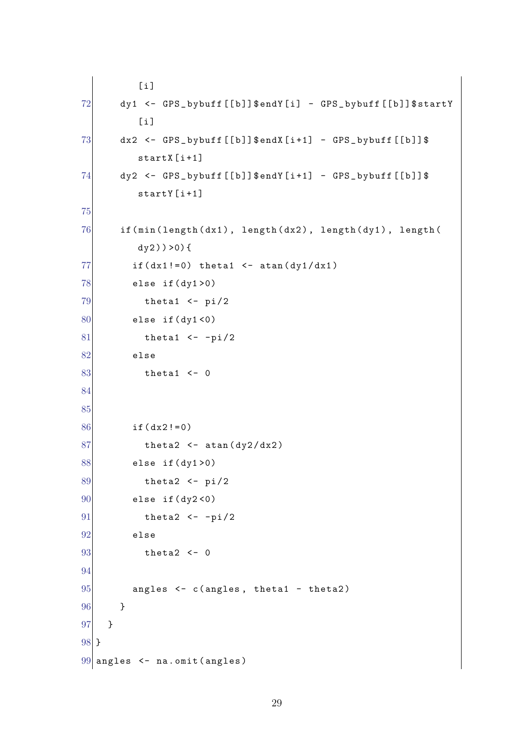```
[i]72 dy1 <- GPS_bybuff [[b]]$endY [i] - GPS_bybuff [[b]]$startY
          [i]73 dx2 <- GPS_bybuff [[b]]$endX [i+1] - GPS_bybuff [[b]]$
         startX [ i +1]
74 dy2 <- GPS_bybuff [[b]]$endY [i+1] - GPS_bybuff [[b]]$
         startY [ i +1]
75
76 if(min(length(dx1), length(dx2), length(dy1), length(
         dy(2)) >0) {
77 if (dx1 != 0) theta1 <- atan (dy1/dx1)78 else if (dy1 > 0)79 thetal \leftarrow pi/2
80 else if (dy1 < 0)81 theta1 <- -pi/282 else
\begin{array}{ccc} 83 & \text{the } 1 & \text{-} 0 \\ 83 & \text{the } 1 & \text{-} 0 \end{array}84
85
86 if (dx2!=0)
87 theta2 <- atan (dy2/dx2)88 else if (dy1>0)89 theta2 <- pi/2
90 else if (dy2 < 0)91 theta2 <- -pi/292 else
93 theta2 \leftarrow 0
94
95 angles \leftarrow c(angles, theta1 - theta2)
96 }
97 }
98 }
99 angles \leq na. omit (angles)
```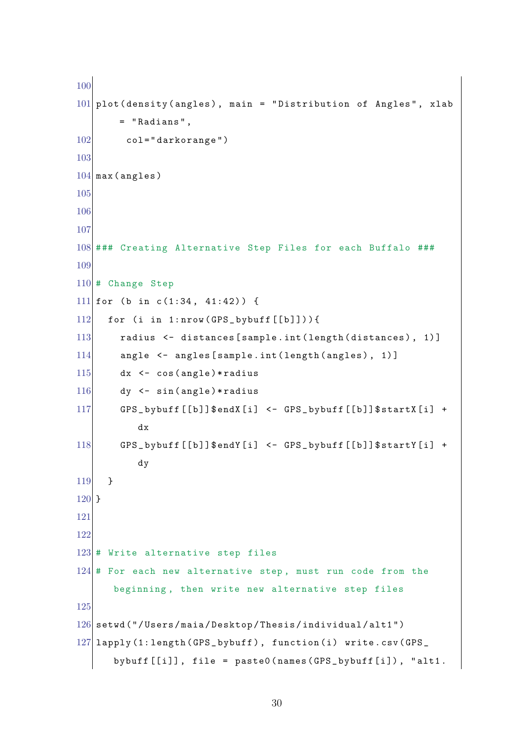```
100
101 plot (density (angles), main = "Distribution of Angles", xlab
       = " Radians ",
102 col="darkorange")
103
104 max( angles )
105
106
107
108 ### Creating Alternative Step Files for each Buffalo ###
109
110 # Change Step
111 for (b in c(1:34, 41:42)) {
112 for (i in 1: nrow (GPS _ bybuff [[b]])){
113 radius <- distances [sample.int (length (distances), 1)]
114 angle \leq angles [sample.int (length (angles), 1)]
115 dx \leq -\cos(\text{angle}) * \text{radius}116 dy \leftarrow sin(angle)*radius
117 GPS_bybuff [[b]]$endX [i] <- GPS_bybuff [[b]]$startX [i] +
          dx
118 GPS_bybuff [[b]]$endY [i] <- GPS_bybuff [[b]]$startY [i] +
          dy
119 }
120 }
121
122
123 \# Write alternative step files
124 # For each new alternative step, must run code from the
      beginning , then write new alternative step files
125
126 setwd ("/Users/maia/Desktop/Thesis/individual/alt1")
127 lapply (1: length (GPS_bybuff), function (i) write.csv (GPS_
      bybuff [[i]], file = paste0(names(GPS_bybuff[i]), "alt1.
```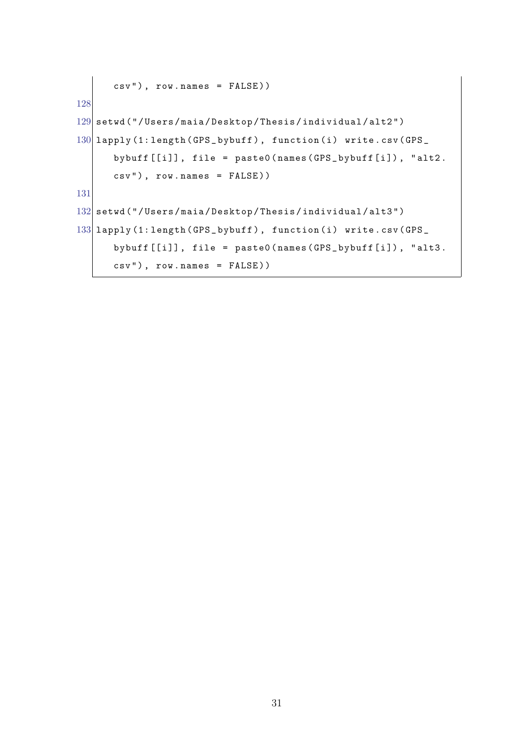```
\text{csv" }), row. names = \text{FALSE}))
128
129 setwd ("/Users/maia/Desktop/Thesis/individual/alt2")
130 lapply (1: length (GPS_bybuff), function (i) write.csv (GPS_
      bybuff [[i]], file = paste0(names(GPS_bybuff[i]), "alt2.
      csv"), row.name = FALSE()131
132 setwd ("/Users/maia/Desktop/Thesis/individual/alt3")
133 lapply (1: length ( GPS _ bybuff ), function (i) write . csv ( GPS _
      bybuff[[i]], file = paste0(names(GPS_bybuff[i]), "alt3.
      csv"), row.names = FALSE))
```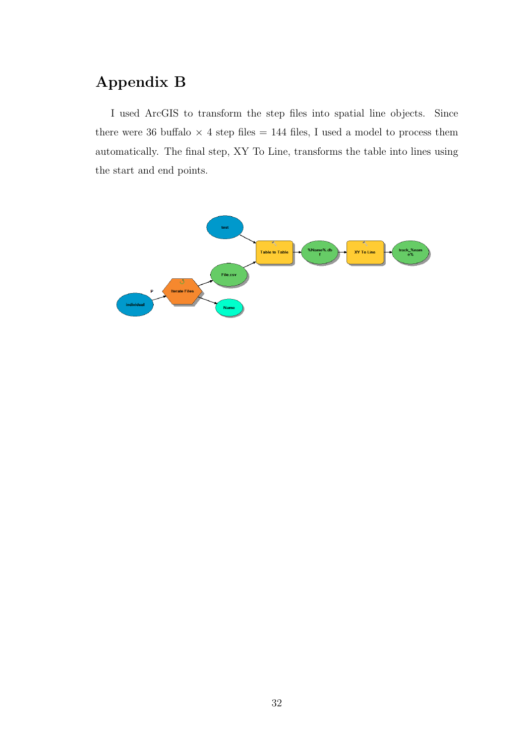# Appendix B

I used ArcGIS to transform the step files into spatial line objects. Since there were 36 buffalo  $\times$  4 step files = 144 files, I used a model to process them automatically. The final step, XY To Line, transforms the table into lines using the start and end points.

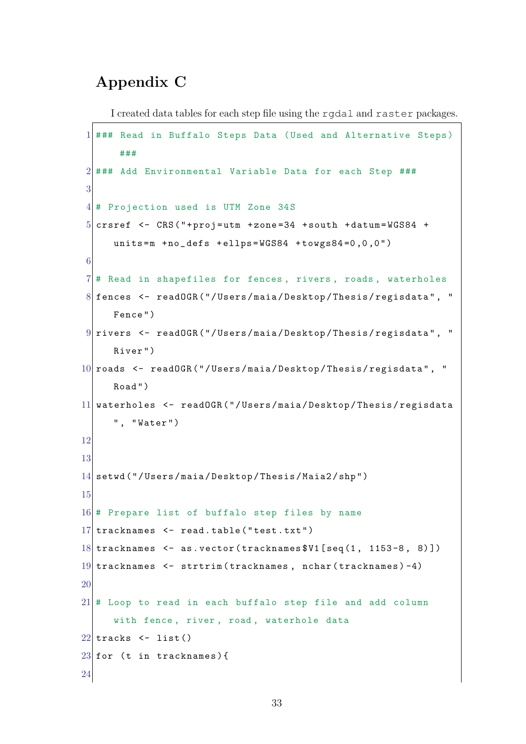## Appendix C

```
I created data tables for each step file using the rgdal and raster packages.
```

```
1 ### Read in Buffalo Steps Data (Used and Alternative Steps)
       ###
2 \mid # \# # Add Environmental Variable Data for each Step #4 \#3
4 # Projection used is UTM Zone 34S
5 crsref \leq CRS ("+proj = utm + zone = 34 + south + datum = WGS84 +
     units =m +no_ defs + ellps = WGS84 + towgs84 =0 ,0 ,0")
6
7 \# Read in shapefiles for fences, rivers, roads, waterholes
8 fences <- readOGR ("/Users/maia/Desktop/Thesis/regisdata", "
     Fence ")
9 rivers \leq readOGR ("/Users/maia/Desktop/Thesis/regisdata", "
     River ")
10 roads <- readOGR ("/Users/maia/Desktop/Thesis/regisdata", "
     Road ")
11 waterholes <- readOGR ("/ Users / maia / Desktop / Thesis / regisdata
     ", " Water ")
12
13
14 setwd ("/ Users / maia / Desktop / Thesis / Maia2 /shp")
15
16 # Prepare list of buffalo step files by name
17 tracknames \leq read.table ("test.txt")
18 tracknames \leq as. vector (tracknames V1 [seq (1, 1153-8, 8)])
19 tracknames \leq strtrim (tracknames, nchar (tracknames) -4)
20
21 \# Loop to read in each buffalo step file and add column
     with fence, river, road, waterhole data
22 tracks \leq list()
23 for (t in tracknames) {
24
```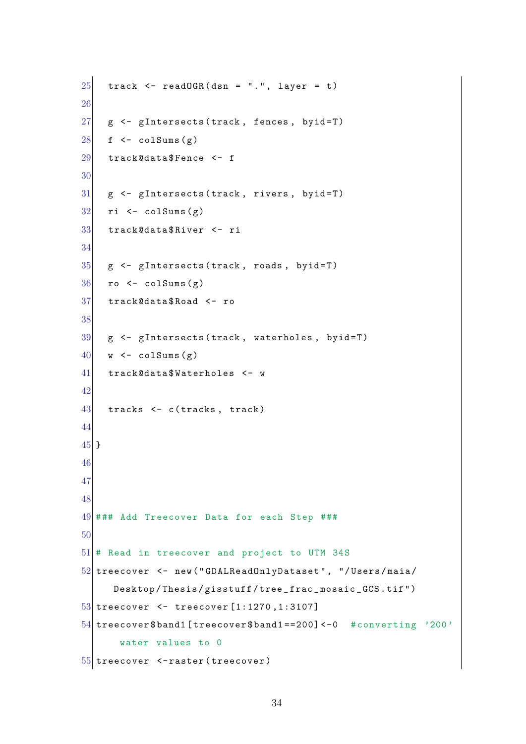```
25 track \leq readOGR(dsn = ".", layer = t)
26
27 \mid g \leftarrow gIntersects (track, fences, byid=T)
28 f <- colSums (g)
29 track@data$Fence <- f
30
31 \mid g \leftarrow g Intersects (track, rivers, byid=T)
32 ri \leftarrow colSums (g)33 track@data$River <- ri
34
35 \, \text{g} <- gIntersects (track, roads, byid=T)
36 ro \leftarrow colSums (g)
37 track@data$Road <- ro
38
39 \mid g \leftarrow g Intersects (track, waterholes, byid=T)
40 w \leftarrow colSums (g)41 track@data$Waterholes <- w
42
43 tracks \leftarrow c(tracks, track)
44
45 }
46
47
48
49 ### Add Treecover Data for each Step ###
50
51 # Read in treecover and project to UTM 34S
52 treecover \leq new ("GDALReadOnlyDataset", "/Users/maia/
      Desktop / Thesis / gisstuff / tree _ frac _ mosaic _GCS .tif ")
53 treecover \leq treecover [1:1270,1:3107]
54 treecover $ band1 [treecover $ band1 ==200] <-0 # converting '200'
       water values to 0
55 treecover \leq-raster (treecover)
```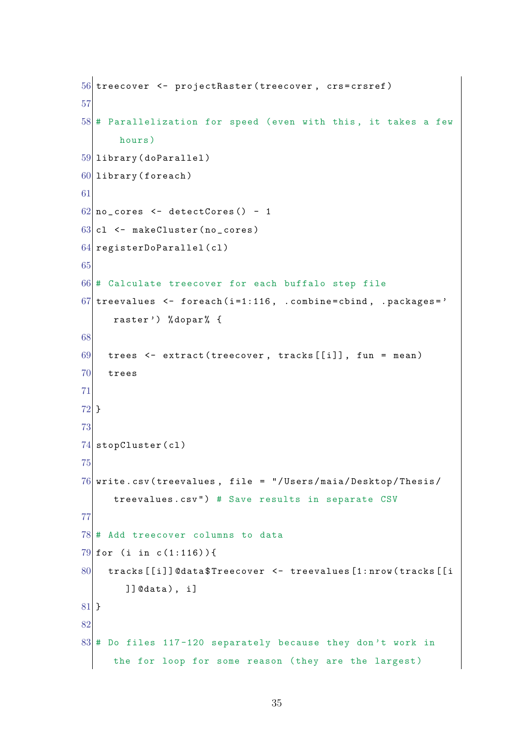```
56 treecover \leq projectRaster (treecover, crs=crsref)
57
58 # Parallelization for speed (even with this, it takes a few
      hours )
59 library (doParallel)
60 library (foreach)
61
62 \text{ no} cores <- detectCores () - 1
63 cl \leq makeCluster (no_cores)
64 registerDoParallel (cl)
65
66 # Calculate treecover for each buffalo step file
67 treevalues \leq foreach (i=1:116, .combine=cbind, .packages='
     raster ') % dopar % {
68
69 trees \leq extract (treecover, tracks [[i]], fun = mean)
70 trees
71
72 }
73
74 stopCluster (cl)
75
76 write.csv(treevalues, file = "/Users/maia/Desktop/Thesis/
     treevalues .csv") # Save results in separate CSV
77
78 # Add treecover columns to data
79 for (i in c(1:116)) {
80 tracks [[ i ]] @data $ Treecover <- treevalues [1: nrow ( tracks [[ i
       ]]@data), i]81 }
82
83 # Do files 117-120 separately because they don't work in
     the for loop for some reason (they are the largest)
```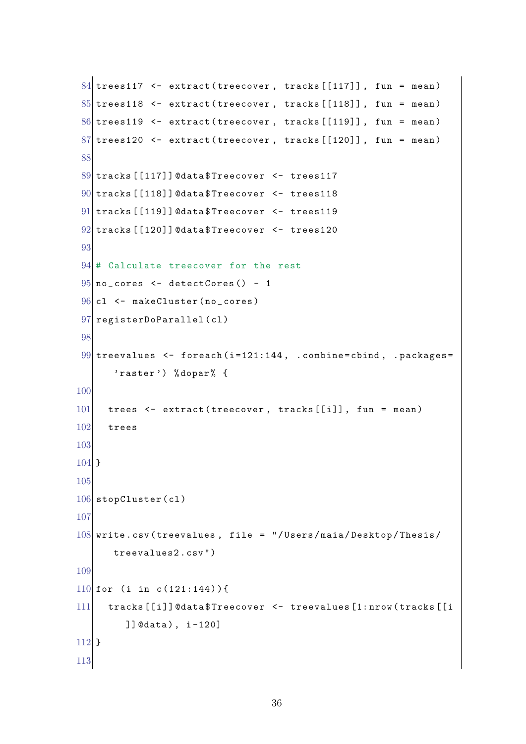```
84 trees117 \leq extract (treecover, tracks [[117]], fun = mean)
85 trees 118 \leq extract (treecover, tracks [[118]], fun = mean)
86 trees119 <- extract (treecover, tracks [[119]], fun = mean)
87 trees120 <- extract (treecover, tracks [[120]], fun = mean)
88
89 tracks [[117]] @data $ Treecover \le- trees 117
90 tracks [[118]] @data $ Treecover \le- trees 118
91 tracks [[119]] @data$ Treecover \le- trees 119
92 tracks [[120]] @data $ Treecover \le- trees 120
93
94 # Calculate treecover for the rest
95 \mid no\_cores \le detectCores () - 1
96 cl <- makeCluster (no_cores)
97 registerDoParallel (cl)
98
99 treevalues \leq foreach (i=121:144, .combine=cbind, .packages=
      'raster') %dopar% {
100
101 trees \leq extract (treecover, tracks [[i]], fun = mean)
102 trees
103
104 }
105
106 stopCluster (cl)
107
108 write.csv(treevalues, file = "/Users/maia/Desktop/Thesis/
      treevalues2 . csv")
109
110 for (i in c(121:144)) {
111 tracks [[i]] @data$ Treecover <- treevalues [1:nrow (tracks [[i
         ]] @data ) , i -120]
112 }
113
```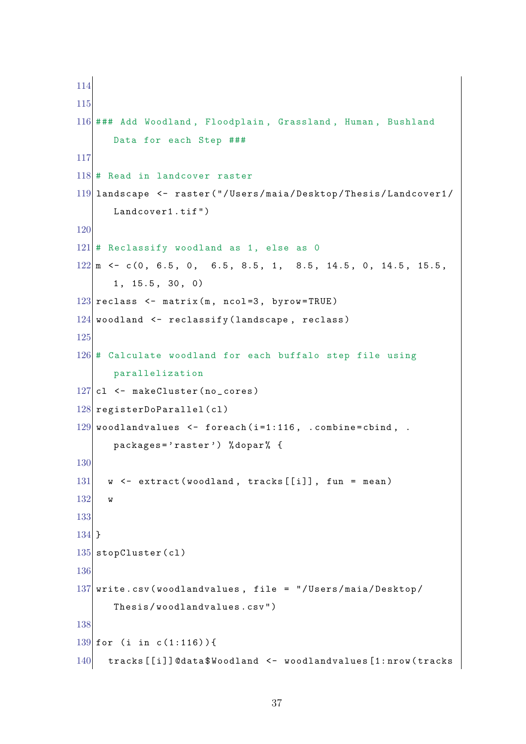```
114
115
116 ### Add Woodland, Floodplain, Grassland, Human, Bushland
      Data for each Step ###
117
118 # Read in landcover raster
119 landscape <- raster ("/ Users / maia / Desktop / Thesis / Landcover1 /
      Landcover1.tif")
120
121 # Reclassify woodland as 1, else as 0
122 \text{ m} <- c(0, 6.5, 0, 6.5, 8.5, 1, 8.5, 14.5, 0, 14.5, 15.5,
      1, 15.5, 30, 0)
123 reclass \leq matrix (m, ncol=3, byrow=TRUE)
124 woodland \leq reclassify (landscape, reclass)
125
126 \# Calculate woodland for each buffalo step file using
      parallelization
127 cl \leq makeCluster (no_cores)
128 registerDoParallel (cl)
129 woodlandvalues \leq foreach (i=1:116, .combine=cbind, .
      packages ='raster ') % dopar % {
130
131 w <- extract ( woodland , tracks [[ i ]] , fun = mean )
132 w
133
134 }
135 stopCluster (cl)
136
137 write.csv(woodlandvalues, file = "/Users/maia/Desktop/
      Thesis / woodlandvalues .csv ")
138
139 for (i in c(1:116)) {
140 tracks [[i]] @data$Woodland <- woodlandvalues [1:nrow (tracks
```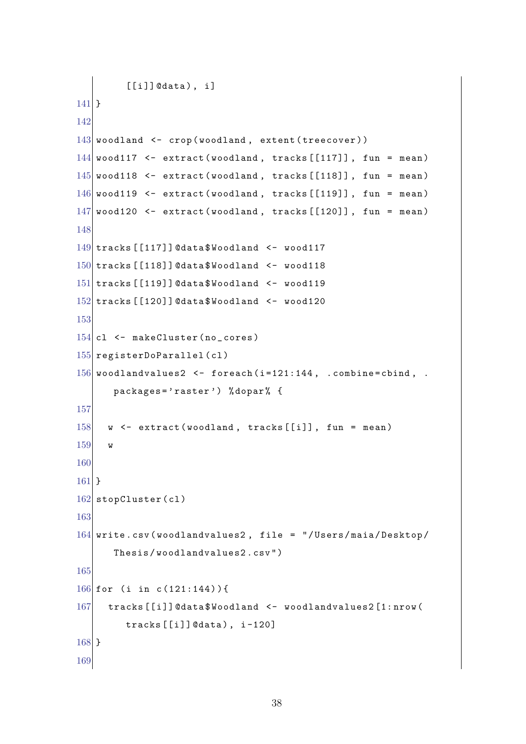```
[[i]]@data), i]
141 }
142
143 woodland \leq crop (woodland, extent (treecover))
144 wood117 <- extract (woodland, tracks [117]], fun = mean)
145 wood118 <- extract (woodland, tracks [118], fun = mean)
146 wood119 \leq extract (woodland, tracks [[119]], fun = mean)
147 wood120 <- extract (woodland, tracks [[120]], fun = mean)
148
149 tracks [[117]] @data $ Woodland \leq wood117
150 tracks [[118]] @data $ Woodland \leq- wood118
151 tracks [[119]] @data $ Woodland \leq wood119
152 tracks [[120]] @data $ Woodland \le wood120
153
154 cl \leq makeCluster (no_cores)
155 registerDoParallel (cl)
156 woodlandvalues2 <- foreach (i = 121:144, .combine=cbind, .
      packages='raster') %dopar% {
157
158 w \leq -e stract (woodland, tracks [[i]], fun = mean)
159 w
160
161 }
162 stopCluster (cl)
163
164 write.csv(woodlandvalues2, file = "/Users/maia/Desktop/
      Thesis / woodlandvalues2 .csv ")
165
166 for (i in c(121:144)) {
167 tracks [[i]] @data $ Woodland <- woodlandvalues 2 [1:nrow (
         tracks [[i]] @data), i-120]168 }
169
```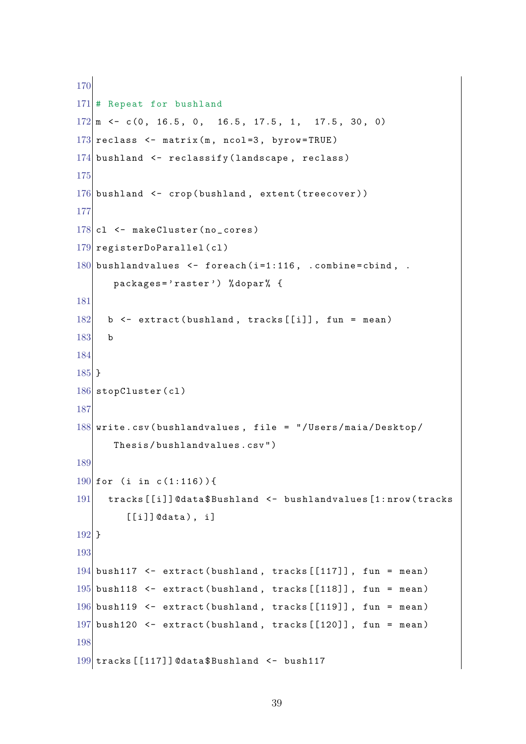```
170
171 # Repeat for bushland
172 \text{ m} <- c(0, 16.5, 0, 16.5, 17.5, 1, 17.5, 30, 0)
173 reclass \leq matrix (m, ncol=3, byrow=TRUE)
174 bushland \leq reclassify (landscape, reclass)
175
176 bushland \leq crop (bushland, extent (treecover))
177
178 cl \leq makeCluster (no_cores)
179 registerDoParallel (cl)
180 bushlandvalues \leq foreach (i=1:116, .combine=cbind, .
      packages ='raster ') % dopar % {
181
182 b \leq extract (bushland, tracks [[i]], fun = mean)
183 b
184
185 }
186 stopCluster (cl)
187
188 write.csv(bushlandvalues, file = "/Users/maia/Desktop/
      Thesis / bushlandvalues .csv ")
189
190 for (i in c(1:116)) {
191 tracks [[i]] @data $ Bushland <- bushlandvalues [1:nrow (tracks
         [[i]] @data), i]192 }
193
194 bush117 \leq extract (bushland, tracks [[117]], fun = mean)
195 bush118 \leq extract (bushland, tracks [[118]], fun = mean)
196 bush119 \leq extract (bushland, tracks [[119]], fun = mean)
197 bush120 <- extract (bushland, tracks [[120]], fun = mean)
198
199 tracks [[117]] @data $ Bushland \le bush117
```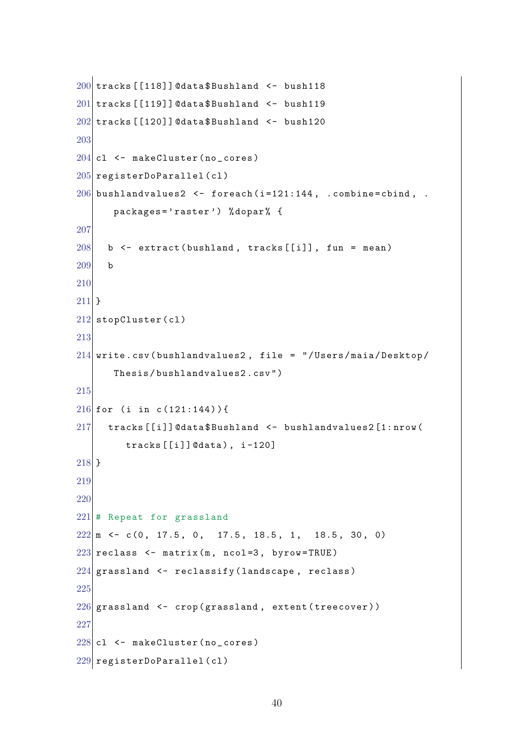```
200 tracks [[118]] @data $ Bushland \leq bush 118
201 tracks [[119]] @data $ Bushland \leq- bush119
202 tracks [[120]] @data $ Bushland <- bush120
203
204 cl \leq makeCluster (no_cores)
205 registerDoParallel (cl)
206 bushlandvalues2 <- foreach (i = 121:144, .combine=cbind, .
      packages='raster') %dopar% {
207
208 b \leq extract (bushland, tracks [[i]], fun = mean)
209 b
210
211 }
212 stopCluster (cl)
213
214 write.csv(bushlandvalues2, file = "/Users/maia/Desktop/
      Thesis / bushlandvalues2 .csv ")
215
216 for (i in c(121:144)) {
217 tracks [[i]] @data $ Bushland <- bushlandvalues 2 [1:nrow (
        tracks [[i]] @data), i-120]
218 }
219
220
221 # Repeat for grassland
222 \text{ m} <- c(0, 17.5, 0, 17.5, 18.5, 1, 18.5, 30, 0)
223 reclass \leq matrix (m, ncol=3, byrow=TRUE)
224 grassland \leq reclassify (landscape, reclass)
225
226 grassland \leq crop (grassland, extent (treecover))
227
228 cl \leq makeCluster (no_cores)
229 registerDoParallel (cl)
```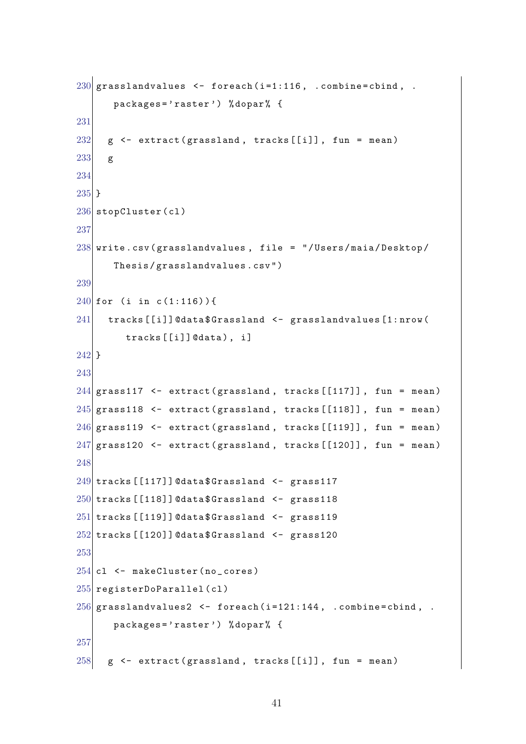```
230 grasslandvalues \leq foreach (i=1:116, .combine=cbind, .
      packages='raster') %dopar% {
231
232 \mid g \leftarrow extract (grassland, tracks [[i]], fun = mean)
233 g
234
235 }
236 stopCluster (cl)
237
238 write.csv(grasslandvalues, file = "/Users/maia/Desktop/
      Thesis / grasslandvalues .csv ")
239
240 for (i in c(1:116)) {
241 tracks [[i]] @data$ Grassland <- grasslandvalues [1:nrow (
         tracks [[i]] @data), i]
242 }
243
244 grass117 <- extract (grassland, tracks [[117]], fun = mean)
245 grass118 <- extract (grassland, tracks [[118]], fun = mean)
246 grass119 <- extract (grassland, tracks [[119]], fun = mean)
247 grass120 <- extract (grassland, tracks [[120]], fun = mean)
248
249 tracks [[117]] @data $ Grassland \leq grass 117
250 tracks [[118]] @data $ Grassland \leq grass 118
251 tracks [[119]] @data $ Grassland \leq- grass119
252 tracks [[120]] @data $ Grassland \leq- grass120
253
254 cl \leq makeCluster (no_cores)
255 registerDoParallel (cl)
256 grasslandvalues2 <- foreach (i=121:144, .combine=cbind, .
      packages ='raster ') % dopar % {
257
258 g \leftarrow extract (grassland, tracks [[i]], fun = mean)
```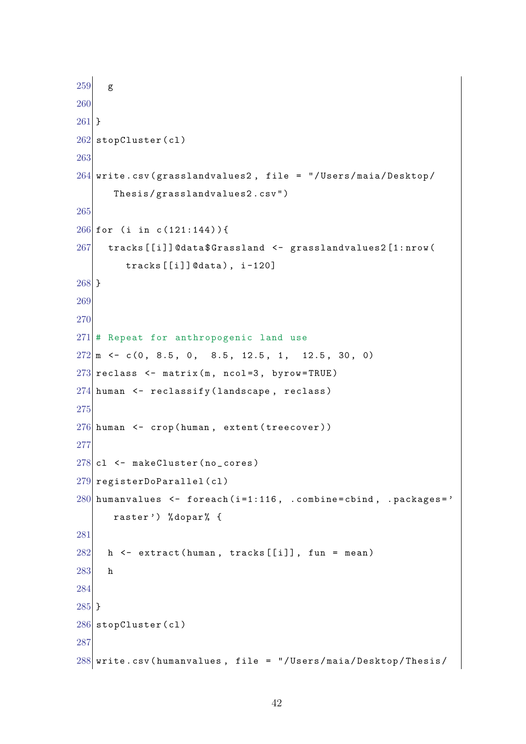```
259 g
260
261 }
262 stopCluster (cl)
263
264 write.csv(grasslandvalues2, file = "/Users/maia/Desktop/
      Thesis / grasslandvalues2 .csv ")
265
266 for (i in c(121:144)) {
267 tracks [[i]] @data $ Grassland \leq grassland values 2 [1: nrow (
        \text{tracks} [[i]] @data), i-120]268 }
269
270
271 # Repeat for anthropogenic land use
272 \text{ m} <- c(0, 8.5, 0, 8.5, 12.5, 1, 12.5, 30, 0)
273 reclass \leq matrix (m, ncol=3, byrow=TRUE)
274 human \leq reclassify (landscape, reclass)
275
276 human \leq crop (human, extent (treecover))
277
278 cl \leq makeCluster (no_cores)
279 registerDoParallel (cl)
280 humanvalues <- foreach (i=1:116, .combine=cbind, .packages='
      raster') %dopar% {
281
282 h \leq extract (human, tracks [[i]], fun = mean)
283 h
284
285 }
286 stopCluster (cl)
287
288 write.csv(humanvalues, file = "/Users/maia/Desktop/Thesis/
```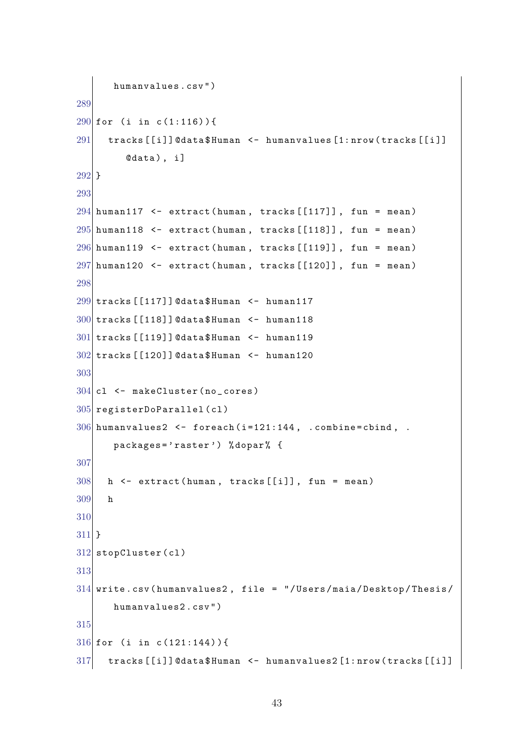```
humanvalues . csv")
289
290 for (i in c(1:116)) {
291 | tracks [[i]] @data $ Human <- humanvalues [1:nrow (tracks [[i]]
         0data), i]
292 }
293
294 human117 <- extract (human, tracks [[117]], fun = mean)
295 human118 <- extract (human, tracks [[118]], fun = mean)
296 human119 \leq extract (human, tracks [[119]], fun = mean)
297 human120 <- extract (human, tracks [[120]], fun = mean)
298
299 tracks [[117]] @data $ Human \le human117
300 tracks [[118]] @data $ Human \le human 118
301 tracks [[119]] @data $ Human \leq human 119
302 tracks [[120]] @data $ Human \leq- human 120
303
304 cl \leq makeCluster (no_cores)
305 registerDoParallel (cl)
306 humanvalues2 <- foreach (i=121:144, .combine=cbind, .
      packages ='raster ') % dopar % {
307
308 h \leq extract (human, tracks [[i]], fun = mean)
309 h
310
311 }
312 stopCluster (cl)
313
314 write.csv(humanvalues2, file = "/Users/maia/Desktop/Thesis/
      humanvalues2 .csv ")
315
316 for (i in c(121:144)) {
317 tracks [[i]] @data $ Human <- humanvalues 2 [1:nrow (tracks [[i]]
```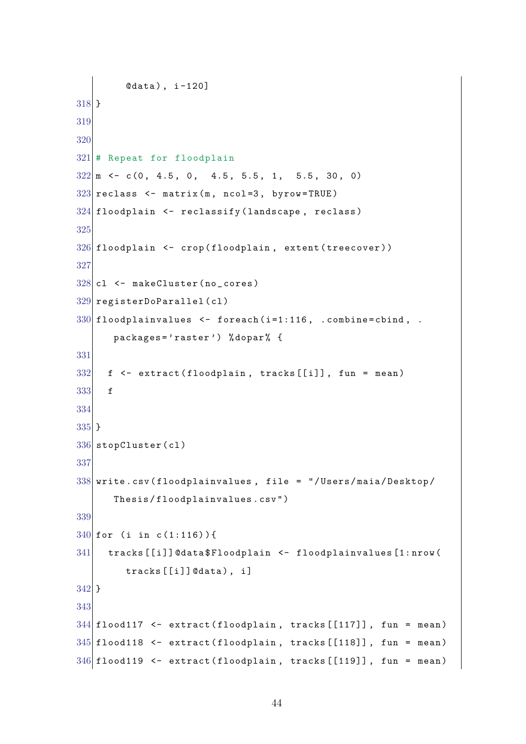```
\texttt{0data}, i-120]
318 }
319
320
321 \# Repeat for floodplain
322 \text{ m} <- c(0, 4.5, 0, 4.5, 5.5, 1, 5.5, 30, 0)
323 reclass \leq matrix (m, ncol=3, byrow=TRUE)
324 floodplain \leq reclassify (landscape, reclass)
325
326 \mid floodplain \leq crop (floodplain, extent (treecover))
327
328 \vert c1 \rangle <- makeCluster (no_cores)
329 registerDoParallel ( cl )
330 floodplainvalues <- foreach (i=1:116, .combine=cbind, .
       packages ='raster ') % dopar % {
331
332 \mid f \leftarrow extract (floodplain, tracks [[i]], fun = mean)
333 f
334
335 }
336 stopCluster (cl)
337
338 write .csv( floodplainvalues , file = "/ Users / maia / Desktop /
       Thesis / floodplainvalues .csv ")
339
340 for (i in c(1:116)) {
341 tracks [[i]] @data$Floodplain <- floodplainvalues [1:nrow (
         tracks [[i]] @ data), i]342 }
343
344 flood117 <- extract (floodplain, tracks [[117]], fun = mean)
345 flood118 <- extract (floodplain, tracks [[118]], fun = mean)
346 flood119 <- extract (floodplain, tracks [[119]], fun = mean)
```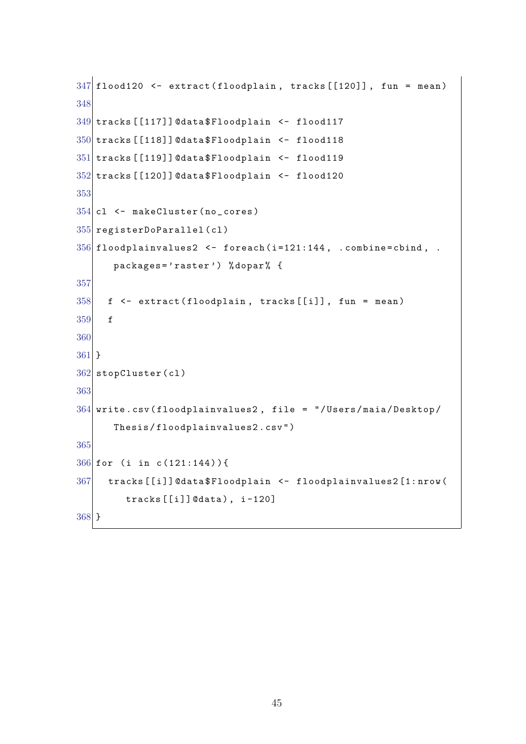```
347 \vert flood120 <- extract (floodplain, tracks [[120]], fun = mean)
348
349 tracks [[117]] @data $ Floodplain <- flood 117
350 tracks [[118]] @data$Floodplain <- flood118
351 tracks [[119]] @data $ Floodplain <- flood 119
352 tracks [[120]] @data $ Floodplain <- flood 120
353
354 cl \leq makeCluster (no_cores)
355 registerDoParallel ( cl )
356 \mid floodplainvalues2 <- foreach (i=121:144, .combine=cbind, .
      packages='raster') %dopar% {
357
358 f \leq extract (floodplain, tracks [[i]], fun = mean)
359 f
360
361 }
362 stopCluster (cl)
363
364 write.csv(floodplainvalues2, file = "/Users/maia/Desktop/
      Thesis/floodplainvalues2.csv")
365
366 for (i in c(121:144)) {
367 tracks [[i]] @data$Floodplain <- floodplainvalues2 [1:nrow (
        tracks [[i]] @data), i-120]368 }
```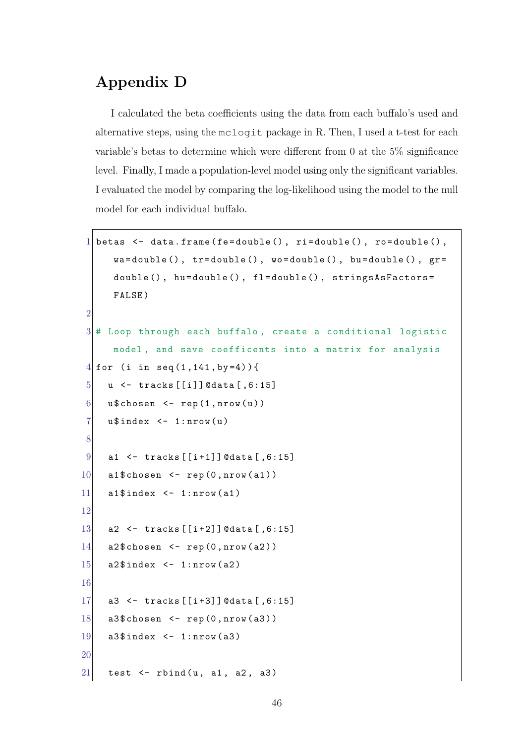## Appendix D

I calculated the beta coefficients using the data from each buffalo's used and alternative steps, using the mclogit package in R. Then, I used a t-test for each variable's betas to determine which were different from 0 at the 5% significance level. Finally, I made a population-level model using only the significant variables. I evaluated the model by comparing the log-likelihood using the model to the null model for each individual buffalo.

```
1 betas <- data.frame (fe=double (), ri=double (), ro=double (),
     wa = double (), tr = double(), wo = double(), bu = double(), gr =double (), hu=double (), fl=double (), stringsAsFactors=
     FALSE )
2
3 # Loop through each buffalo, create a conditional logistic
     model , and save coefficents into a matrix for analysis
4 \mid for (i in seq(1,141, by=4)){
5 u \leftarrow tracks [[i]] @data [,6:15]
6 u$ chosen \leq rep (1, nrow(u))7 u$index \leq -1: nrow(u)8
9 \mid a1 <- tracks [[i+1]] @data [,6:15]
10 a1$ chosen \leq rep (0, nrow(a1))11 a1$ index \leq 1: nrow (a1)
12
13 a2 \leftarrow tracks [[i+2]] @data [,6:15]
14 a2$ chosen \leq rep (0, nrow(a2))15 a2$index \leq 1:nrow (a2)
16
17 a3 <- tracks [[i+3]] @data [,6:15]
18 a3$ chosen <- rep (0, nrow(a3))19 a3$ index \leq 1: nrow (a3)
20
21 test \leftarrow rbind (u, a1, a2, a3)
```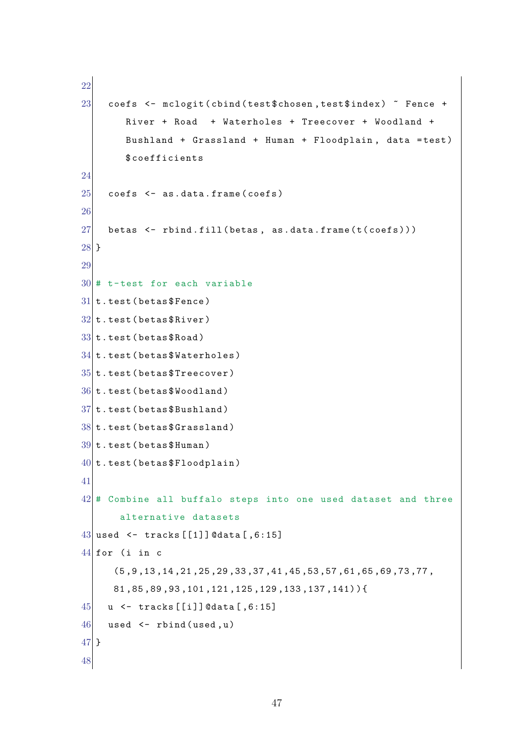```
22
23 coefs \leq mclogit (cbind (test $ chosen, test $ index) \tilde{ } Fence +
        River + Road + Waterholes + Treecover + Woodland +
        Bushland + Grassland + Human + Floodplain , data = test )
        $ coefficients
24
25 coefs \leq as. data. frame (coefs)
26
27 betas \leftarrow rbind.fill (betas, as.data.frame (t (coefs)))
28 }
29
30 # t-test for each variable
31 t. test (betas $ Fence)
32 t. test (betas $ River)
33 t. test (betas $ Road)34 t. test (betas $Waterholes)
35 t. test (betas $Tree cover)36 t. test (betas $ Woodland)
37 t. test (betas $ Bushland)
38 t. test (betas $Grassland)39 t. test (betas $ Human)
40 t. test (betas $Floodplain)
41
42 # Combine all buffalo steps into one used dataset and three
       alternative datasets
43 used \le tracks [[1]] @data [,6:15]
44 for (i in c
      (5 ,9 ,13 ,14 ,21 ,25 ,29 ,33 ,37 ,41 ,45 ,53 ,57 ,61 ,65 ,69 ,73 ,77 ,
      81 ,85 ,89 ,93 ,101 ,121 ,125 ,129 ,133 ,137 ,141) ) {
45 u \leftarrow tracks [[i]] @data [,6:15]
46 used \leftarrow rbind (used, u)
47 }
48
```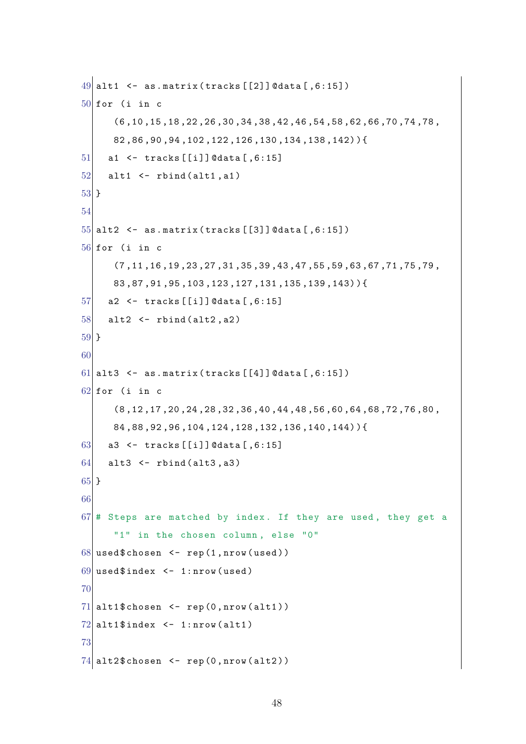```
49 alt1 \leq as. matrix (tracks [[2]] @data [.6:15])
50 for (i in c
      (6 ,10 ,15 ,18 ,22 ,26 ,30 ,34 ,38 ,42 ,46 ,54 ,58 ,62 ,66 ,70 ,74 ,78 ,
      82 ,86 ,90 ,94 ,102 ,122 ,126 ,130 ,134 ,138 ,142) ) {
51 a1 <- tracks [[i]] @data [, 6:15]
52 alt1 <- rbind (alt1, a1)
53 }
54
55 \text{ alt2} <- as.matrix (tracks [[3]] @data [,6:15])
56 for (i in c
      (7 ,11 ,16 ,19 ,23 ,27 ,31 ,35 ,39 ,43 ,47 ,55 ,59 ,63 ,67 ,71 ,75 ,79 ,
      83 ,87 ,91 ,95 ,103 ,123 ,127 ,131 ,135 ,139 ,143) ) {
57 a2 <- tracks [[i]] @data [,6:15]
58 alt2 <- rbind (alt2, a2)
59 }
60
61| alt3 <- as.matrix (tracks [[4]] @data [,6:15])
62 for (i in c
      (8 ,12 ,17 ,20 ,24 ,28 ,32 ,36 ,40 ,44 ,48 ,56 ,60 ,64 ,68 ,72 ,76 ,80 ,
      84 ,88 ,92 ,96 ,104 ,124 ,128 ,132 ,136 ,140 ,144) ) {
63 a3 <- tracks [[i]] @data [, 6:15]64 alt3 <- rbind (alt3, a3)
65 }
66
67 # Steps are matched by index. If they are used, they get a
      "1" in the chosen column, else "0"
68 used $ chosen \leq rep (1, nrow (used))
69 used $ index \leq -1: nrow (used)
70
71| alt1$ chosen \leq rep (0, nrow (alt1))72 alt1$index \leq 1:nrow (alt1)
73
74 alt2$ chosen <- rep (0, nrow (alt2))
```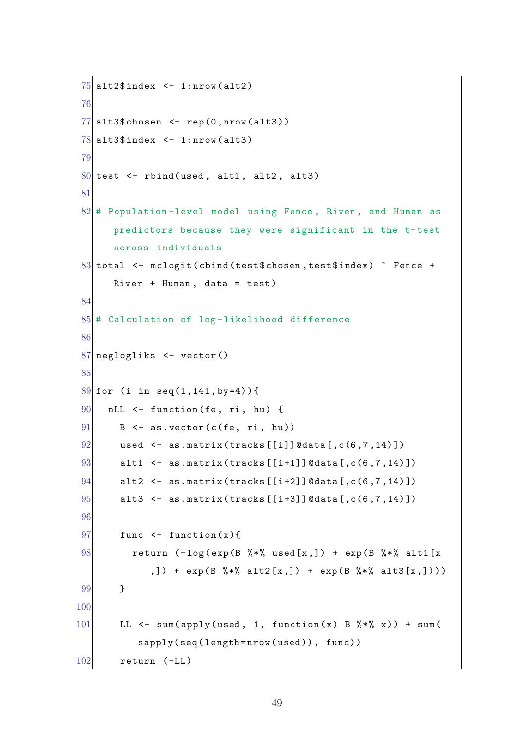```
75 alt2$ index \leq 1: nrow (alt2)
 76
 77 alt3$ chosen <- rep (0, nrow (alt3))78 alt3$ index \leq 1: nrow (alt3)
 79
 80 test \leq rbind (used, alt1, alt2, alt3)
 81
 82 # Population-level model using Fence, River, and Human as
        predictors because they were significant in the t-test
        across individuals
 83 total <- mclogit (cbind (test $ chosen, test $ index) \tilde{ } Fence +
        River + Human, data = test)
 84
 85 # Calculation of log-likelihood difference
 86
 87 neglogliks \leq vector ()
 88
 89 for (i in seq(1,141, by=4)){
 90 nLL \leq function (fe, ri, hu) {
 91 B <- as. vector (c(fe, ri, hu))
 92 used \leq as.matrix (tracks [[i]] @data [, c(6, 7, 14)])
 93 alt1 \leftarrow as. matrix (tracks [[i+1]] @data [, c(6, 7, 14)])
 94 alt2 \leftarrow as. matrix (tracks \left[ \left[ i+2 \right] \right] @data \left[ ,c(6,7,14) \right])
 95 alt3 <- as.matrix (tracks [[i+3]] @data [ c (6, 7, 14) ])
 96
 97 func \leftarrow function (x) {
 98 return (-log(exp(B \frac{1}{2} * \frac{1}{2} n) + exp(B \frac{1}{2} * \frac{1}{2} n)),]) + exp(B \sqrt[6]{*}\sqrt[6]{*} = 1 + exp(B \sqrt[6]{*}\sqrt[6]{*} = 1 + 3[x,]))
99 }
100
101 LL \leq sum (apply (used, 1, function (x) B \frac{2}{3}, \frac{2}{3} \leq \frac{2}{3} \leq \frac{2}{3} \leq \frac{2}{3} \leq \frac{2}{3} \leq \frac{2}{3} \leq \frac{2}{3} \leq \frac{2}{3} \leq \frac{2}{3} \leq \frac{2}{3} \leq 
             sapply (seq (length=nrow (used)), func))
102 return (-LL)
```